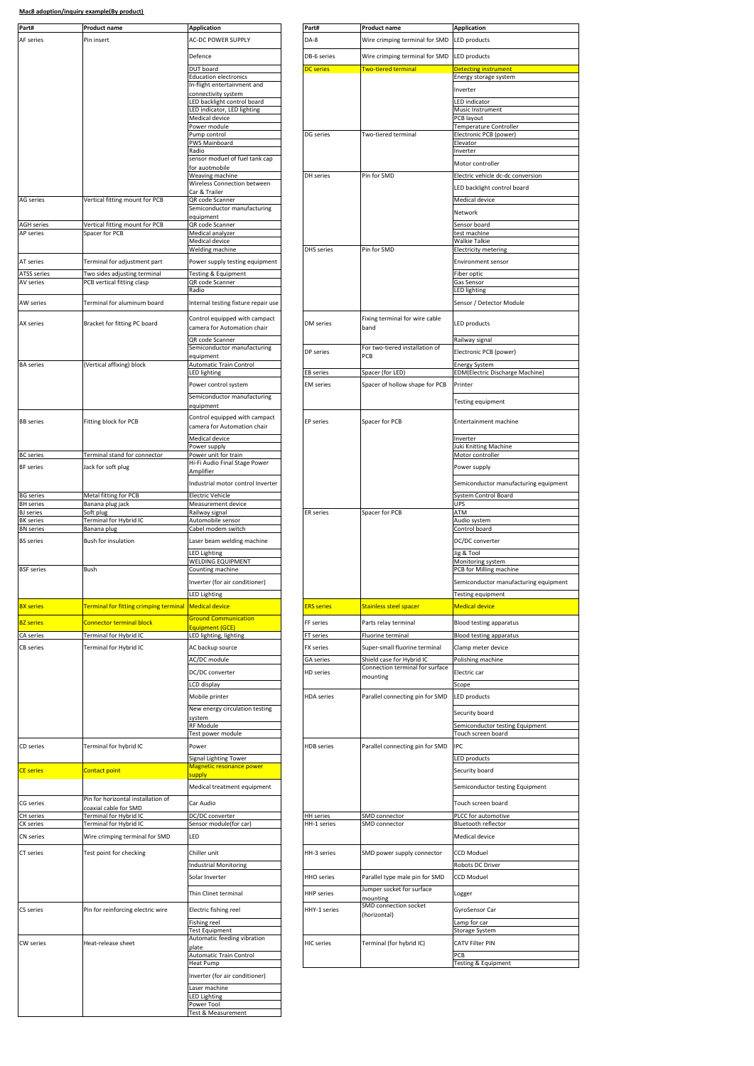| Part#                                 | <b>Product name</b>                                        | <b>Application</b>                                   | Part#                           | <b>Product name</b>                                   | <b>Application</b>                                       |
|---------------------------------------|------------------------------------------------------------|------------------------------------------------------|---------------------------------|-------------------------------------------------------|----------------------------------------------------------|
| AF series                             | Pin insert                                                 | <b>AC-DC POWER SUPPLY</b>                            | DA-8                            | Wire crimping terminal for SMD                        | <b>LED</b> products                                      |
|                                       |                                                            |                                                      |                                 |                                                       |                                                          |
|                                       |                                                            | Defence<br>DUT board                                 | DB-6 series<br><b>DC</b> series | Wire crimping terminal for SMD<br>Two-tiered terminal | <b>LED</b> products                                      |
|                                       |                                                            | <b>Education electronics</b>                         |                                 |                                                       | Detecting instrument<br>Energy storage system            |
|                                       |                                                            | In-flight entertainment and<br>connectivity system   |                                 |                                                       | Inverter                                                 |
|                                       |                                                            | LED backlight control board                          |                                 |                                                       | <b>LED</b> indicator                                     |
|                                       |                                                            | LED indicator, LED lighting<br>Medical device        |                                 |                                                       | Music Instrument<br>PCB layout                           |
|                                       | Power module                                               |                                                      |                                 | Temperature Controller                                |                                                          |
|                                       |                                                            | Pump control<br>PWS Mainboard                        | DG series                       | Two-tiered terminal                                   | Electronic PCB (power)<br>Elevator                       |
|                                       |                                                            | Radio                                                |                                 |                                                       | Inverter                                                 |
|                                       |                                                            | sensor moduel of fuel tank cap<br>for auotmobile     |                                 |                                                       | Motor controller                                         |
|                                       |                                                            | Weaving machine<br>Wireless Connection between       | DH series                       | Pin for SMD                                           | Electric vehicle dc-dc conv                              |
|                                       |                                                            | Car & Trailer                                        |                                 |                                                       | LED backlight control boa                                |
| <b>AG</b> series                      | Vertical fitting mount for PCB                             | QR code Scanner<br>Semiconductor manufacturing       |                                 |                                                       | Medical device                                           |
|                                       |                                                            | equipment                                            |                                 |                                                       | Network                                                  |
| <b>AGH</b> series<br><b>AP</b> series | Vertical fitting mount for PCB<br>Spacer for PCB           | QR code Scanner<br>Medical analyzer                  |                                 |                                                       | Sensor board<br>test machine                             |
|                                       |                                                            | Medical device                                       |                                 |                                                       | <b>Walkie Talkie</b>                                     |
|                                       |                                                            | Welding machine                                      | <b>DHS</b> series               | Pin for SMD                                           | <b>Electricity metering</b>                              |
| AT series                             | Terminal for adjustment part                               | Power supply testing equipment                       |                                 |                                                       | <b>Environment sensor</b>                                |
| ATSS series<br>AV series              | Two sides adjusting terminal<br>PCB vertical fitting clasp | <b>Testing &amp; Equipment</b><br>QR code Scanner    |                                 |                                                       | Fiber optic<br>Gas Sensor                                |
|                                       |                                                            | Radio                                                |                                 |                                                       | <b>LED lighting</b>                                      |
| AW series                             | Terminal for aluminum board                                | Internal testing fixture repair use                  |                                 |                                                       | Sensor / Detector Module                                 |
| <b>AX series</b>                      | Bracket for fitting PC board                               | Control equipped with campact                        | DM series                       | Fixing terminal for wire cable                        | LED products                                             |
|                                       |                                                            | camera for Automation chair                          |                                 | band                                                  |                                                          |
|                                       |                                                            | QR code Scanner<br>Semiconductor manufacturing       |                                 | For two-tiered installation of                        | Railway signal                                           |
|                                       |                                                            | equipment                                            | DP series                       | PCB                                                   | Electronic PCB (power)                                   |
| <b>BA</b> series                      | (Vertical affixing) block                                  | <b>Automatic Train Control</b><br>LED lighting       | <b>EB</b> series                | Spacer (for LED)                                      | <b>Energy System</b><br><b>EDM</b> (Electric Discharge M |
|                                       |                                                            | Power control system                                 | EM series                       | Spacer of hollow shape for PCB                        | Printer                                                  |
|                                       |                                                            | Semiconductor manufacturing                          |                                 |                                                       |                                                          |
|                                       |                                                            | equipment                                            |                                 |                                                       | <b>Testing equipment</b>                                 |
| <b>BB</b> series                      | Fitting block for PCB                                      | Control equipped with campact                        | <b>EP</b> series                | Spacer for PCB                                        | Entertainment machine                                    |
|                                       |                                                            | camera for Automation chair                          |                                 |                                                       |                                                          |
|                                       |                                                            | Medical device<br>Power supply                       |                                 |                                                       | Inverter<br>luki Knitting Machine                        |
| <b>BC</b> series                      | Terminal stand for connector                               | Power unit for train                                 |                                 |                                                       | Motor controller                                         |
| <b>BF</b> series                      | Jack for soft plug                                         | Hi-Fi Audio Final Stage Power<br>Amplifier           |                                 |                                                       | Power supply                                             |
|                                       |                                                            | Industrial motor control Inverter                    |                                 |                                                       | Semiconductor manufact                                   |
| <b>BG</b> series                      | Metal fitting for PCB                                      | <b>Electric Vehicle</b>                              |                                 |                                                       | System Control Board                                     |
| <b>BH</b> series<br><b>BJ</b> series  | Banana plug jack<br>Soft plug                              | Measurement device<br>Railway signal                 | ER series                       | Spacer for PCB                                        | UPS<br>ATM                                               |
| <b>BK</b> series                      | Terminal for Hybrid IC                                     | Automobile sensor                                    |                                 |                                                       | Audio system                                             |
| BN series                             | Banana plug                                                | Cabel modem switch                                   |                                 |                                                       | Control board                                            |
| <b>BS</b> series                      | Bush for insulation                                        | Laser beam welding machine                           |                                 |                                                       | DC/DC converter                                          |
|                                       |                                                            | <b>ED Lighting</b><br>WELDING EQUIPMENT              |                                 |                                                       | lig & Tool<br>Monitoring system                          |
| <b>BSF</b> series                     | Bush                                                       | Counting machine                                     |                                 |                                                       | PCB for Milling machine                                  |
|                                       |                                                            | Inverter (for air conditioner)                       |                                 |                                                       | Semiconductor manufact                                   |
|                                       |                                                            | <b>LED Lighting</b>                                  |                                 |                                                       | <b>Testing equipment</b>                                 |
| <b>BX</b> series                      | <b>Terminal for fitting crimping terminal</b>              | <b>Medical device</b>                                | <b>ERS</b> series               | <b>Stainless steel spacer</b>                         | <b>Medical device</b>                                    |
| <b>BZ</b> series                      | <b>Connector terminal block</b>                            | <b>Ground Communication</b><br>Equipment (GCE)       | FF series                       | Parts relay terminal                                  | Blood testing apparatus                                  |
| CA series                             | Terminal for Hybrid IC                                     | ED lighting, lighting                                | FT series                       | Fluorine terminal                                     | <b>Blood testing apparatus</b>                           |
| CB series                             | Terminal for Hybrid IC                                     | AC backup source                                     | FX series                       | Super-small fluorine terminal                         | Clamp meter device                                       |
|                                       |                                                            | AC/DC module                                         | GA series                       | Shield case for Hybrid IC                             | Polishing machine                                        |
|                                       |                                                            | DC/DC converter                                      | HD series                       | Connection terminal for surface<br>mounting           | Electric car                                             |
|                                       |                                                            | LCD display                                          |                                 |                                                       | Scope                                                    |
|                                       |                                                            | Mobile printer                                       | <b>HDA</b> series               | Parallel connecting pin for SMD                       | <b>LED</b> products                                      |
|                                       |                                                            | New energy circulation testing                       |                                 |                                                       | Security board                                           |
|                                       |                                                            | system<br><b>RF Module</b>                           |                                 |                                                       | Semiconductor testing Eq                                 |
|                                       |                                                            | Fest power module                                    |                                 |                                                       | Touch screen board                                       |
| CD series                             | Terminal for hybrid IC                                     | Power                                                | HDB series                      | Parallel connecting pin for SMD                       | <b>IPC</b>                                               |
|                                       |                                                            | Signal Lighting Tower<br>Magnetic resonance power    |                                 |                                                       | LED products                                             |
| <b>CE series</b>                      | Contact point                                              | supply                                               |                                 |                                                       | Security board                                           |
|                                       |                                                            | Medical treatment equipment                          |                                 |                                                       | Semiconductor testing Eq                                 |
| CG series                             | Pin for horizontal installation of                         | Car Audio                                            |                                 |                                                       | Touch screen board                                       |
| CH series                             | coaxial cable for SMD<br>Terminal for Hybrid IC            | DC/DC converter                                      | HH series                       | SMD connector                                         | PLCC for automotive                                      |
| CK series                             | Terminal for Hybrid IC                                     | Sensor module(for car)                               | HH-1 series                     | SMD connector                                         | Bluetooth reflector                                      |
| CN series                             | Wire crimping terminal for SMD                             | LED                                                  |                                 |                                                       | Medical device                                           |
| CT series                             | Test point for checking                                    | Chiller unit                                         | HH-3 series                     | SMD power supply connector                            | <b>CCD Moduel</b>                                        |
|                                       |                                                            | <b>Industrial Monitoring</b>                         |                                 |                                                       | Robots DC Driver                                         |
|                                       |                                                            | Solar Inverter                                       | HHO series                      | Parallel type male pin for SMD                        | CCD Moduel                                               |
|                                       |                                                            |                                                      |                                 | Jumper socket for surface                             |                                                          |
|                                       |                                                            | Thin Clinet terminal                                 | <b>HHP</b> series               | mounting                                              | Logger                                                   |
| CS series                             | Pin for reinforcing electric wire                          | Electric fishing reel                                | HHY-1 series                    | SMD connection socket<br>(horizontal)                 | GyroSensor Car                                           |
|                                       |                                                            | Fishing reel                                         |                                 |                                                       | Lamp for car                                             |
|                                       |                                                            | <b>Test Equipment</b><br>Automatic feeding vibration |                                 |                                                       | Storage System                                           |
| CW series                             | Heat-release sheet                                         | plate                                                | <b>HIC</b> series               | Terminal (for hybrid IC)                              | CATV Filter PIN                                          |
|                                       |                                                            | Automatic Train Control<br><b>Heat Pump</b>          |                                 |                                                       | PCB<br>Testing & Equipment                               |
|                                       |                                                            | Inverter (for air conditioner)                       |                                 |                                                       |                                                          |
|                                       |                                                            | Laser machine                                        |                                 |                                                       |                                                          |
|                                       |                                                            | LED Lighting                                         |                                 |                                                       |                                                          |
|                                       |                                                            | Power Tool<br>Test & Measurement                     |                                 |                                                       |                                                          |

| Product name                                               | <b>Application</b>                                          | Part#             | <b>Product name</b>                                          | <b>Application</b>                                    |
|------------------------------------------------------------|-------------------------------------------------------------|-------------------|--------------------------------------------------------------|-------------------------------------------------------|
| Pin insert                                                 | <b>AC-DC POWER SUPPLY</b>                                   | DA-8              | Wire crimping terminal for SMD                               | <b>LED</b> products                                   |
|                                                            |                                                             |                   |                                                              |                                                       |
|                                                            | Defence                                                     | DB-6 series       | Wire crimping terminal for SMD                               | <b>LED</b> products                                   |
|                                                            | DUT board                                                   | <b>DC</b> series  | <b>Two-tiered terminal</b>                                   | <b>Detecting instrument</b>                           |
|                                                            | <b>Education electronics</b><br>In-flight entertainment and |                   |                                                              | Energy storage system                                 |
|                                                            | connectivity system                                         |                   |                                                              | Inverter                                              |
|                                                            | ED backlight control board                                  |                   |                                                              | <b>LED</b> indicator                                  |
|                                                            | LED indicator, LED lighting<br>Medical device               |                   |                                                              | Music Instrument<br>PCB layout                        |
|                                                            | Power module                                                |                   |                                                              | Temperature Controller                                |
|                                                            | ump control                                                 | DG series         | Two-tiered terminal                                          | Electronic PCB (power)                                |
|                                                            | <b>WS Mainboard</b><br>Radio                                |                   |                                                              | Elevator<br>Inverter                                  |
|                                                            | sensor moduel of fuel tank cap                              |                   |                                                              | Motor controller                                      |
|                                                            | for auotmobile<br>Weaving machine                           | DH series         | Pin for SMD                                                  | Electric vehicle dc-dc conversion                     |
|                                                            | Wireless Connection between                                 |                   |                                                              |                                                       |
|                                                            | Car & Trailer                                               |                   |                                                              | LED backlight control board                           |
| Vertical fitting mount for PCB                             | QR code Scanner<br>Semiconductor manufacturing              |                   |                                                              | Medical device                                        |
|                                                            | equipment                                                   |                   |                                                              | Network                                               |
| Vertical fitting mount for PCB<br>Spacer for PCB           | QR code Scanner                                             |                   |                                                              | Sensor board                                          |
|                                                            | Medical analyzer<br>Medical device                          |                   |                                                              | test machine<br>Walkie Talkie                         |
|                                                            | Welding machine                                             | DHS series        | Pin for SMD                                                  | <b>Electricity metering</b>                           |
| Terminal for adjustment part                               | Power supply testing equipment                              |                   |                                                              | <b>Environment sensor</b>                             |
| Two sides adjusting terminal                               | Testing & Equipment                                         |                   |                                                              | Fiber optic                                           |
| PCB vertical fitting clasp                                 | QR code Scanner                                             |                   |                                                              | Gas Sensor                                            |
|                                                            | Radio                                                       |                   |                                                              | <b>LED lighting</b>                                   |
| Terminal for aluminum board                                | Internal testing fixture repair use                         |                   |                                                              | Sensor / Detector Module                              |
|                                                            | Control equipped with campact                               |                   | Fixing terminal for wire cable                               |                                                       |
| Bracket for fitting PC board                               | camera for Automation chair                                 | DM series         | band                                                         | <b>LED</b> products                                   |
|                                                            | QR code Scanner                                             |                   |                                                              | Railway signal                                        |
|                                                            | Semiconductor manufacturing                                 | DP series         | For two-tiered installation of                               | Electronic PCB (power)                                |
| (Vertical affixing) block                                  | equipment<br>Automatic Train Control                        |                   | PCB                                                          | <b>Energy System</b>                                  |
|                                                            | LED lighting                                                | <b>EB</b> series  | Spacer (for LED)                                             | <b>EDM(Electric Discharge Machine)</b>                |
|                                                            | Power control system                                        | <b>EM</b> series  | Spacer of hollow shape for PCB                               | Printer                                               |
|                                                            | Semiconductor manufacturing                                 |                   |                                                              |                                                       |
|                                                            | equipment                                                   |                   |                                                              | Testing equipment                                     |
| Fitting block for PCB                                      | Control equipped with campact                               | <b>EP</b> series  | Spacer for PCB                                               | Entertainment machine                                 |
|                                                            | camera for Automation chair                                 |                   |                                                              |                                                       |
|                                                            | Medical device                                              |                   |                                                              | Inverter                                              |
| Terminal stand for connector                               | Power supply<br>Power unit for train                        |                   |                                                              | Juki Knitting Machine<br>Motor controller             |
|                                                            | Hi-Fi Audio Final Stage Power                               |                   |                                                              |                                                       |
| Jack for soft plug                                         | Amplifier                                                   |                   |                                                              | Power supply                                          |
|                                                            | Industrial motor control Inverter                           |                   |                                                              | Semiconductor manufacturing equipment                 |
| Metal fitting for PCB                                      | <b>Electric Vehicle</b>                                     |                   |                                                              | <b>System Control Board</b>                           |
| Banana plug jack                                           | Measurement device                                          |                   |                                                              | UPS                                                   |
| Soft plug<br>Terminal for Hybrid IC                        | Railway signal<br>Automobile sensor                         | ER series         | Spacer for PCB                                               | ATM<br>Audio system                                   |
| Banana plug                                                | Cabel modem switch                                          |                   |                                                              | Control board                                         |
| Bush for insulation                                        | Laser beam welding machine                                  |                   |                                                              | DC/DC converter                                       |
|                                                            | <b>LED Lighting</b>                                         |                   |                                                              | Jig & Tool                                            |
|                                                            | WELDING EQUIPMENT                                           |                   |                                                              | Monitoring system                                     |
| Bush                                                       | Counting machine                                            |                   |                                                              | PCB for Milling machine                               |
|                                                            | Inverter (for air conditioner)                              |                   |                                                              | Semiconductor manufacturing equipment                 |
|                                                            |                                                             |                   |                                                              |                                                       |
| <b>Terminal for fitting crimping terminal</b>              | <b>Medical device</b>                                       | <b>ERS</b> series | Stainless steel spacer                                       | <b>Medical device</b>                                 |
| <b>Connector terminal block</b>                            | <b>Ground Communication</b>                                 | FF series         | Parts relay terminal                                         | Blood testing apparatus                               |
|                                                            | Equipment (GCE)                                             |                   |                                                              |                                                       |
| Terminal for Hybrid IC                                     | LED lighting, lighting                                      | FT series         | Fluorine terminal                                            | <b>Blood testing apparatus</b>                        |
| Terminal for Hybrid IC                                     | AC backup source                                            | FX series         | Super-small fluorine terminal                                | Clamp meter device                                    |
|                                                            | AC/DC module                                                | GA series         | Shield case for Hybrid IC<br>Connection terminal for surface | Polishing machine                                     |
|                                                            | DC/DC converter                                             | HD series         | mounting                                                     | Electric car                                          |
|                                                            | CD display                                                  |                   |                                                              | Scope                                                 |
|                                                            | Mobile printer                                              | <b>HDA</b> series | Parallel connecting pin for SMD                              | LED products                                          |
|                                                            | New energy circulation testing                              |                   |                                                              |                                                       |
|                                                            | system                                                      |                   |                                                              | Security board                                        |
|                                                            | RF Module<br>Test power module                              |                   |                                                              | Semiconductor testing Equipment<br>Touch screen board |
| Terminal for hybrid IC                                     | Power                                                       | HDB series        | Parallel connecting pin for SMD                              | IPC                                                   |
|                                                            |                                                             |                   |                                                              |                                                       |
|                                                            |                                                             |                   |                                                              |                                                       |
|                                                            | Signal Lighting Tower                                       |                   |                                                              | <b>LED</b> products                                   |
|                                                            | Magnetic resonance power<br>supply                          |                   |                                                              | Security board                                        |
|                                                            | Medical treatment equipment                                 |                   |                                                              | Semiconductor testing Equipment                       |
| <b>Contact point</b><br>Pin for horizontal installation of |                                                             |                   |                                                              |                                                       |
| coaxial cable for SMD                                      | Car Audio                                                   |                   |                                                              | Touch screen board                                    |
|                                                            | DC/DC converter                                             | HH series         | SMD connector                                                | PLCC for automotive                                   |
| Terminal for Hybrid IC<br>Terminal for Hybrid IC           | Sensor module(for car)                                      | HH-1 series       | SMD connector                                                | Bluetooth reflector                                   |
| Wire crimping terminal for SMD                             | LED                                                         |                   |                                                              | Medical device                                        |
|                                                            | Chiller unit                                                | HH-3 series       | SMD power supply connector                                   | CCD Moduel                                            |
|                                                            | <b>Industrial Monitoring</b>                                |                   |                                                              | Robots DC Driver                                      |
|                                                            | Solar Inverter                                              | HHO series        |                                                              | CCD Moduel                                            |
|                                                            |                                                             |                   | Parallel type male pin for SMD                               |                                                       |
| Test point for checking                                    | Thin Clinet terminal                                        | HHP series        | Jumper socket for surface<br>mounting                        | Logger                                                |
| Pin for reinforcing electric wire                          | Electric fishing reel                                       | HHY-1 series      | SMD connection socket                                        | GyroSensor Car                                        |
|                                                            |                                                             |                   | (horizontal)                                                 |                                                       |
|                                                            | Fishing reel<br>Test Equipment                              |                   |                                                              | Lamp for car<br><b>Storage System</b>                 |
| Heat-release sheet                                         | Automatic feeding vibration                                 | <b>HIC</b> series | Terminal (for hybrid IC)                                     | <b>CATV Filter PIN</b>                                |
|                                                            | plate<br><b>Automatic Train Control</b>                     |                   |                                                              | PCB                                                   |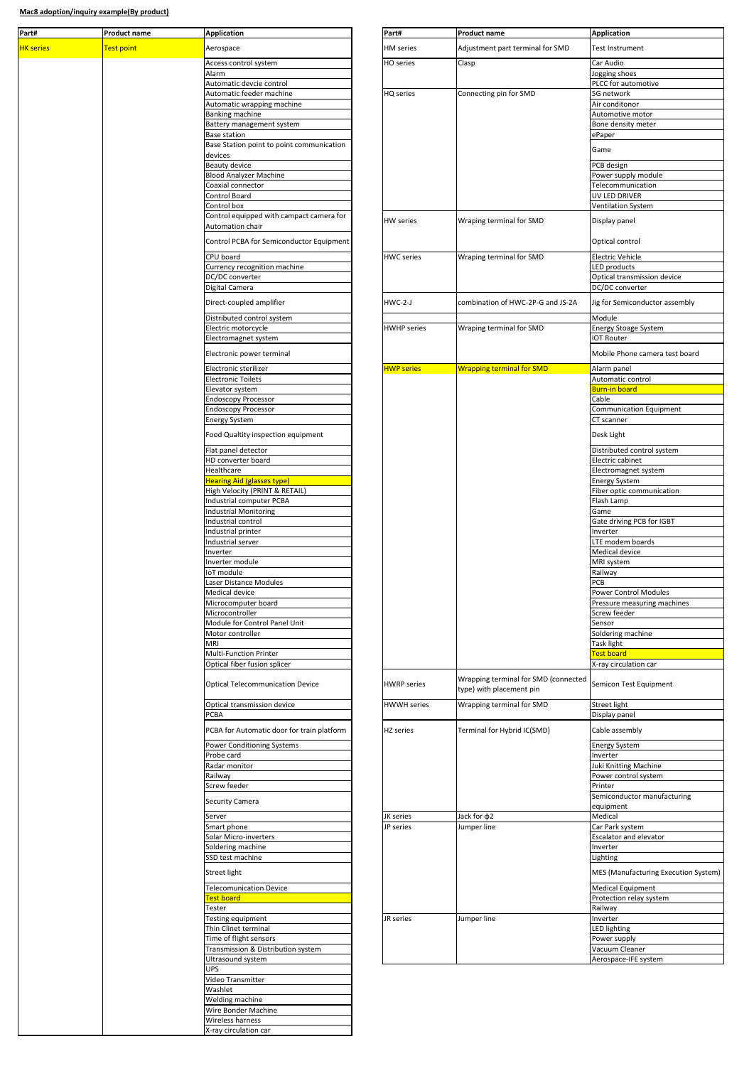| Part#            | Product name | <b>Application</b>                                 | Part#              | Product name                                                     | <b>Application</b>                       |
|------------------|--------------|----------------------------------------------------|--------------------|------------------------------------------------------------------|------------------------------------------|
| <b>HK</b> series | Test point   | Aerospace                                          | HM series          | Adjustment part terminal for SMD                                 | Test Instrument                          |
|                  |              |                                                    |                    |                                                                  |                                          |
|                  |              | Access control system<br>Alarm                     | HO series          | Clasp                                                            | Car Audio<br>Jogging shoes               |
|                  |              | Automatic devcie control                           |                    |                                                                  | PLCC for autom                           |
|                  |              | Automatic feeder machine                           | HQ series          | Connecting pin for SMD                                           | 5G network                               |
|                  |              | Automatic wrapping machine                         |                    |                                                                  | Air conditonor                           |
|                  |              | Banking machine                                    |                    |                                                                  | Automotive mo                            |
|                  |              | Battery management system<br><b>Base station</b>   |                    |                                                                  | Bone density m<br>ePaper                 |
|                  |              | Base Station point to point communication          |                    |                                                                  |                                          |
|                  |              | devices                                            |                    |                                                                  | Game                                     |
|                  |              | Beauty device                                      |                    |                                                                  | PCB design                               |
|                  |              | <b>Blood Analyzer Machine</b>                      |                    |                                                                  | Power supply m                           |
|                  |              | Coaxial connector                                  |                    |                                                                  | Telecommunica                            |
|                  |              | Control Board<br>Control box                       |                    |                                                                  | UV LED DRIVER<br><b>Ventilation Syst</b> |
|                  |              | Control equipped with campact camera for           |                    |                                                                  |                                          |
|                  |              | Automation chair                                   | HW series          | Wraping terminal for SMD                                         | Display panel                            |
|                  |              | Control PCBA for Semiconductor Equipment           |                    |                                                                  | Optical control                          |
|                  |              | CPU board                                          | <b>HWC</b> series  |                                                                  | <b>Electric Vehicle</b>                  |
|                  |              | Currency recognition machine                       |                    | Wraping terminal for SMD                                         | LED products                             |
|                  |              | DC/DC converter                                    |                    |                                                                  | Optical transmi                          |
|                  |              | Digital Camera                                     |                    |                                                                  | DC/DC converte                           |
|                  |              | Direct-coupled amplifier                           | HWC-2-J            | combination of HWC-2P-G and JS-2A                                | Jig for Semicon                          |
|                  |              |                                                    |                    |                                                                  |                                          |
|                  |              | Distributed control system<br>Electric motorcycle  | <b>HWHP</b> series | Wraping terminal for SMD                                         | Module<br><b>Energy Stoage S</b>         |
|                  |              | Electromagnet system                               |                    |                                                                  | <b>IOT Router</b>                        |
|                  |              | Electronic power terminal                          |                    |                                                                  | Mobile Phone c                           |
|                  |              |                                                    |                    |                                                                  |                                          |
|                  |              | Electronic sterilizer                              | <b>HWP series</b>  | <b>Wrapping terminal for SMD</b>                                 | Alarm panel                              |
|                  |              | <b>Electronic Toilets</b><br>Elevator system       |                    |                                                                  | Automatic cont<br>Burn-in board          |
|                  |              | <b>Endoscopy Processor</b>                         |                    |                                                                  | Cable                                    |
|                  |              | <b>Endoscopy Processor</b>                         |                    |                                                                  | Communicatior                            |
|                  |              | <b>Energy System</b>                               |                    |                                                                  | CT scanner                               |
|                  |              | Food Qualtity inspection equipment                 |                    |                                                                  | Desk Light                               |
|                  |              | Flat panel detector                                |                    |                                                                  | Distributed con                          |
|                  |              | HD converter board                                 |                    |                                                                  | Electric cabinet                         |
|                  |              | Healthcare                                         |                    |                                                                  | Electromagnet:                           |
|                  |              | <b>Hearing Aid (glasses type)</b>                  |                    |                                                                  | Energy System                            |
|                  |              | High Velocity (PRINT & RETAIL)                     |                    |                                                                  | Fiber optic com                          |
|                  |              | Industrial computer PCBA                           |                    |                                                                  | Flash Lamp                               |
|                  |              | <b>Industrial Monitoring</b><br>Industrial control |                    |                                                                  | Game<br><b>Gate driving PC</b>           |
|                  |              | Industrial printer                                 |                    |                                                                  | Inverter                                 |
|                  |              | Industrial server                                  |                    |                                                                  | <b>LTE</b> modem boa                     |
|                  |              | Inverter                                           |                    |                                                                  | Medical device                           |
|                  |              | Inverter module                                    |                    |                                                                  | MRI system                               |
|                  |              | IoT module                                         |                    |                                                                  | Railway<br>PCB                           |
|                  |              | Laser Distance Modules<br>Medical device           |                    |                                                                  | Power Control I                          |
|                  |              | Microcomputer board                                |                    |                                                                  | Pressure measu                           |
|                  |              | Microcontroller                                    |                    |                                                                  | Screw feeder                             |
|                  |              | Module for Control Panel Unit                      |                    |                                                                  | Sensor                                   |
|                  |              | Motor controller                                   |                    |                                                                  | Soldering mach                           |
|                  |              | MRI<br>Multi-Function Printer                      |                    |                                                                  | Task light<br>Test board                 |
|                  |              | Optical fiber fusion splicer                       |                    |                                                                  | X-ray circulation                        |
|                  |              |                                                    |                    |                                                                  |                                          |
|                  |              | <b>Optical Telecommunication Device</b>            | <b>HWRP</b> series | Wrapping terminal for SMD (connected<br>type) with placement pin | Semicon Test Er                          |
|                  |              |                                                    |                    |                                                                  |                                          |
|                  |              | Optical transmission device                        | HWWH series        | Wrapping terminal for SMD                                        | Street light                             |
|                  |              | <b>PCBA</b>                                        |                    |                                                                  | Display panel                            |
|                  |              | PCBA for Automatic door for train platform         | HZ series          | Terminal for Hybrid IC(SMD)                                      | Cable assembly                           |
|                  |              | <b>Power Conditioning Systems</b>                  |                    |                                                                  | Energy System                            |
|                  |              | Probe card                                         |                    |                                                                  | Inverter                                 |
|                  |              | Radar monitor                                      |                    |                                                                  | Juki Knitting Ma                         |
|                  |              | Railway<br>Screw feeder                            |                    |                                                                  | Power control s<br>Printer               |
|                  |              |                                                    |                    |                                                                  | Semiconductor                            |
|                  |              | Security Camera                                    |                    |                                                                  | equipment                                |
|                  |              | Server                                             | JK series          | Jack for $\phi$ 2                                                | Medical                                  |
|                  |              | Smart phone                                        | JP series          | Jumper line                                                      | Car Park system                          |
|                  |              | Solar Micro-inverters<br>Soldering machine         |                    |                                                                  | Escalator and e<br>Inverter              |
|                  |              | SSD test machine                                   |                    |                                                                  | Lighting                                 |
|                  |              |                                                    |                    |                                                                  |                                          |
|                  |              | Street light                                       |                    |                                                                  | MES (Manufact                            |
|                  |              | <b>Telecomunication Device</b>                     |                    |                                                                  | Medical Equipm                           |
|                  |              | <b>Test board</b><br>Tester                        |                    |                                                                  | Protection relay<br>Railway              |
|                  |              | Testing equipment                                  | JR series          | Jumper line                                                      | Inverter                                 |
|                  |              | Thin Clinet terminal                               |                    |                                                                  | LED lighting                             |
|                  |              | Time of flight sensors                             |                    |                                                                  | Power supply                             |
|                  |              | Transmission & Distribution system                 |                    |                                                                  | Vacuum Cleane                            |
|                  |              | Ultrasound system                                  |                    |                                                                  | Aerospace-IFE s                          |
|                  |              | <b>UPS</b><br>Video Transmitter                    |                    |                                                                  |                                          |
|                  |              | Washlet                                            |                    |                                                                  |                                          |
|                  |              | Welding machine                                    |                    |                                                                  |                                          |
|                  |              | Wire Bonder Machine                                |                    |                                                                  |                                          |
|                  |              | Wireless harness                                   |                    |                                                                  |                                          |
|                  |              | X-ray circulation car                              |                    |                                                                  |                                          |

| Application                                              | rai L#             | Product name                                          | Application                                         |
|----------------------------------------------------------|--------------------|-------------------------------------------------------|-----------------------------------------------------|
| Aerospace                                                | <b>HM</b> series   | Adjustment part terminal for SMD                      | <b>Test Instrument</b>                              |
| Access control system                                    | HO series          | Clasp                                                 | Car Audio                                           |
| Alarm                                                    |                    |                                                       | Jogging shoes                                       |
| Automatic devcie control                                 |                    |                                                       | PLCC for automotive                                 |
| Automatic feeder machine<br>Automatic wrapping machine   | HQ series          | Connecting pin for SMD                                | 5G network<br>Air conditonor                        |
| Banking machine                                          |                    |                                                       | Automotive motor                                    |
| Battery management system                                |                    |                                                       | Bone density meter                                  |
| Base station                                             |                    |                                                       | ePaper                                              |
| Base Station point to point communication                |                    |                                                       | Game                                                |
| devices<br><b>Beauty device</b>                          |                    |                                                       | PCB design                                          |
| <b>Blood Analyzer Machine</b>                            |                    |                                                       | Power supply module                                 |
| Coaxial connector                                        |                    |                                                       | Telecommunication                                   |
| Control Board                                            |                    |                                                       | UV LED DRIVER                                       |
| Control box<br>Control equipped with campact camera for  |                    |                                                       | Ventilation System                                  |
| Automation chair                                         | HW series          | Wraping terminal for SMD                              | Display panel                                       |
| Control PCBA for Semiconductor Equipment                 |                    |                                                       | Optical control                                     |
| CPU board                                                | <b>HWC</b> series  | Wraping terminal for SMD                              | <b>Electric Vehicle</b>                             |
| Currency recognition machine                             |                    |                                                       | <b>LED</b> products                                 |
| DC/DC converter<br>Digital Camera                        |                    |                                                       | Optical transmission device<br>DC/DC converter      |
|                                                          |                    |                                                       |                                                     |
| Direct-coupled amplifier                                 | $HWC-2-J$          | combination of HWC-2P-G and JS-2A                     | Jig for Semiconductor assembly                      |
| Distributed control system                               |                    |                                                       | Module                                              |
| Electric motorcycle<br>Electromagnet system              | <b>HWHP</b> series | Wraping terminal for SMD                              | <b>Energy Stoage System</b><br><b>IOT Router</b>    |
|                                                          |                    |                                                       |                                                     |
| Electronic power terminal                                |                    |                                                       | Mobile Phone camera test board                      |
| Electronic sterilizer                                    | <b>HWP series</b>  | <b>Wrapping terminal for SMD</b>                      | Alarm panel                                         |
| <b>Electronic Toilets</b>                                |                    |                                                       | Automatic control                                   |
| Elevator system                                          |                    |                                                       | Burn-in board                                       |
| <b>Endoscopy Processor</b><br><b>Endoscopy Processor</b> |                    |                                                       | Cable<br>Communication Equipment                    |
| <b>Energy System</b>                                     |                    |                                                       | CT scanner                                          |
| Food Qualtity inspection equipment                       |                    |                                                       | Desk Light                                          |
| Flat panel detector                                      |                    |                                                       | Distributed control system                          |
| HD converter board                                       |                    |                                                       | Electric cabinet                                    |
| Healthcare<br><b>Hearing Aid (glasses type)</b>          |                    |                                                       | Electromagnet system<br><b>Energy System</b>        |
| High Velocity (PRINT & RETAIL)                           |                    |                                                       | Fiber optic communication                           |
| Industrial computer PCBA                                 |                    |                                                       | Flash Lamp                                          |
| <b>Industrial Monitoring</b>                             |                    |                                                       | Game                                                |
| Industrial control                                       |                    |                                                       | Gate driving PCB for IGBT                           |
| Industrial printer<br>Industrial server                  |                    |                                                       | Inverter<br>LTE modem boards                        |
| Inverter                                                 |                    |                                                       | Medical device                                      |
| Inverter module                                          |                    |                                                       | MRI system                                          |
| IoT module                                               |                    |                                                       | Railway                                             |
| Laser Distance Modules<br>Medical device                 |                    |                                                       | PCB<br>Power Control Modules                        |
| Microcomputer board                                      |                    |                                                       | Pressure measuring machines                         |
| Microcontroller                                          |                    |                                                       | Screw feeder                                        |
| Module for Control Panel Unit                            |                    |                                                       | Sensor                                              |
| Motor controller                                         |                    |                                                       | Soldering machine                                   |
| MRI<br>Multi-Function Printer                            |                    |                                                       | Task light<br><b>Test board</b>                     |
| Optical fiber fusion splicer                             |                    |                                                       | X-ray circulation car                               |
| <b>Optical Telecommunication Device</b>                  | <b>HWRP</b> series | Wrapping terminal for SMD (connected                  | Semicon Test Equipment                              |
| Optical transmission device                              | <b>HWWH</b> series | type) with placement pin<br>Wrapping terminal for SMD | Street light                                        |
| PCBA                                                     |                    |                                                       | Display panel                                       |
| PCBA for Automatic door for train platform               | HZ series          | Terminal for Hybrid IC(SMD)                           | Cable assembly                                      |
| Power Conditioning Systems                               |                    |                                                       | <b>Energy System</b>                                |
| Probe card                                               |                    |                                                       | Inverter                                            |
| Radar monitor                                            |                    |                                                       | Juki Knitting Machine                               |
| Railway<br>Screw feeder                                  |                    |                                                       | Power control system<br>Printer                     |
|                                                          |                    |                                                       | Semiconductor manufacturing                         |
| Security Camera                                          |                    |                                                       | equipment                                           |
| Server                                                   | JK series          | Jack for $\phi$ 2                                     | Medical                                             |
| Smart phone<br>Solar Micro-inverters                     | JP series          | Jumper line                                           | Car Park system<br>Escalator and elevator           |
| Soldering machine                                        |                    |                                                       | Inverter                                            |
| SSD test machine                                         |                    |                                                       | Lighting                                            |
| Street light                                             |                    |                                                       | MES (Manufacturing Execution System)                |
|                                                          |                    |                                                       |                                                     |
| <b>Telecomunication Device</b><br><b>Test board</b>      |                    |                                                       | <b>Medical Equipment</b><br>Protection relay system |
| Tester                                                   |                    |                                                       | Railway                                             |
| Testing equipment                                        | JR series          | Jumper line                                           | Inverter                                            |
| Thin Clinet terminal                                     |                    |                                                       | <b>LED lighting</b>                                 |
| Time of flight sensors                                   |                    |                                                       | Power supply                                        |
| Transmission & Distribution system                       |                    |                                                       | Vacuum Cleaner                                      |
| Ultrasound system                                        |                    |                                                       | Aerospace-IFE system                                |

 $\overline{\phantom{0}}$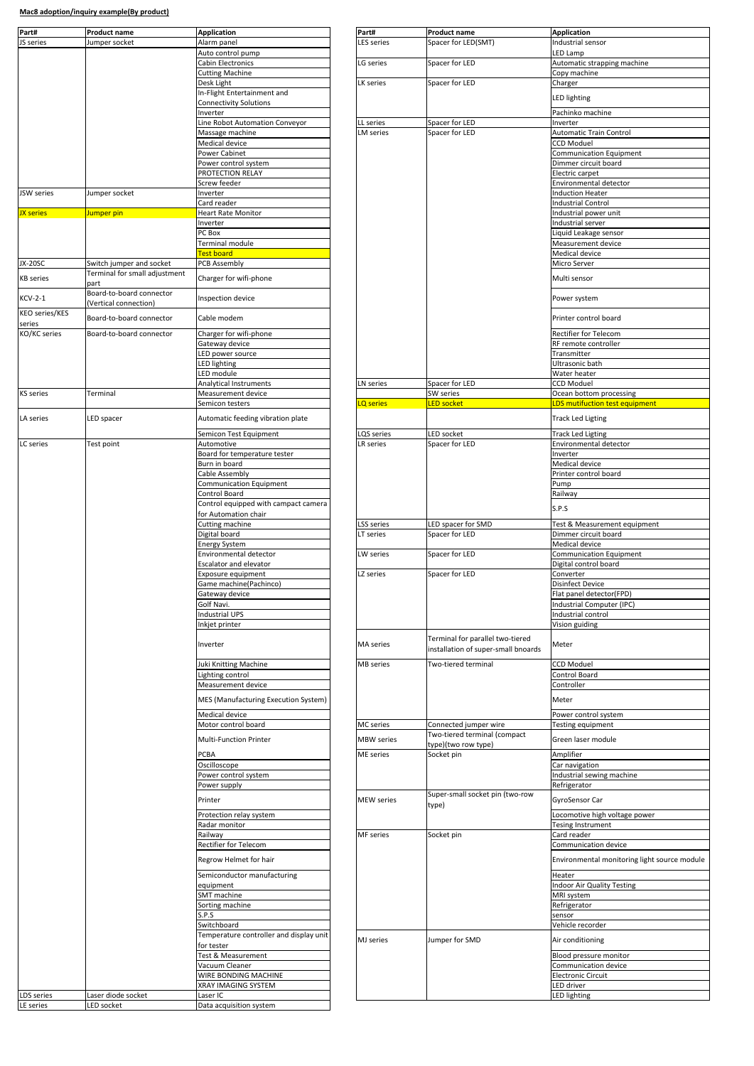| Part#                                   | <b>Product name</b><br>lumper socket                      | <b>Application</b><br>Alarm panel                            | Part#<br><b>ES</b> series | <b>Product name</b>                                                     | <b>Application</b><br>Industrial sensor              |
|-----------------------------------------|-----------------------------------------------------------|--------------------------------------------------------------|---------------------------|-------------------------------------------------------------------------|------------------------------------------------------|
| <b>S</b> series                         |                                                           | Auto control pump                                            |                           | Spacer for LED(SMT)                                                     | LED Lamp                                             |
|                                         |                                                           | Cabin Electronics                                            | G series                  | Spacer for LED                                                          | Automatic strapping mach                             |
|                                         |                                                           | <b>Cutting Machine</b>                                       |                           |                                                                         | Copy machine                                         |
|                                         |                                                           | Desk Light<br>In-Flight Entertainment and                    | LK series                 | Spacer for LED                                                          | Charger                                              |
|                                         |                                                           | Connectivity Solutions                                       |                           |                                                                         | LED lighting                                         |
|                                         |                                                           | Inverter                                                     |                           |                                                                         | Pachinko machine                                     |
|                                         |                                                           | Line Robot Automation Conveyor                               | LL series                 | Spacer for LED                                                          | Inverter                                             |
|                                         |                                                           | Massage machine<br>Medical device                            | LM series                 | Spacer for LED                                                          | Automatic Train Control<br><b>CCD Moduel</b>         |
|                                         | Power Cabinet                                             |                                                              |                           | Communication Equipmer                                                  |                                                      |
|                                         |                                                           | Power control system                                         |                           |                                                                         | Dimmer circuit board                                 |
|                                         |                                                           | PROTECTION RELAY<br>Screw feeder                             |                           |                                                                         | Electric carpet<br>Environmental detector            |
| JSW series                              | Jumper socket                                             | Inverter                                                     |                           |                                                                         | <b>Induction Heater</b>                              |
|                                         |                                                           | Card reader                                                  |                           |                                                                         | <b>Industrial Control</b>                            |
| <b>JX</b> series<br>Jumper pin          | <b>Heart Rate Monitor</b>                                 |                                                              |                           | Industrial power unit                                                   |                                                      |
|                                         |                                                           | Inverter<br>PC Box                                           |                           |                                                                         | Industrial server<br>Liquid Leakage sensor           |
|                                         |                                                           | Terminal module                                              |                           |                                                                         | Measurement device                                   |
|                                         |                                                           | Test board                                                   |                           |                                                                         | Medical device                                       |
| <b>JX-20SC</b>                          | Switch jumper and socket<br>Terminal for small adjustment | <b>PCB Assembly</b>                                          |                           |                                                                         | Micro Server                                         |
| <b>KB</b> series                        | part<br>Board-to-board connector                          | Charger for wifi-phone                                       |                           |                                                                         | Multi sensor                                         |
| <b>KCV-2-1</b><br><b>KEO series/KES</b> | (Vertical connection)                                     | Inspection device                                            |                           |                                                                         | Power system                                         |
| series                                  | Board-to-board connector                                  | Cable modem                                                  |                           |                                                                         | Printer control board                                |
| KO/KC series                            | Board-to-board connector                                  | Charger for wifi-phone<br>Gateway device                     |                           |                                                                         | <b>Rectifier for Telecom</b>                         |
|                                         |                                                           | ED power source                                              |                           |                                                                         | RF remote controller<br>Transmitter                  |
|                                         |                                                           | ED lighting                                                  |                           |                                                                         | Ultrasonic bath                                      |
|                                         |                                                           | LED module                                                   |                           |                                                                         | Water heater                                         |
| <b>KS</b> series                        | Terminal                                                  | Analytical Instruments<br>Measurement device                 | LN series                 | Spacer for LED<br>SW series                                             | <b>CCD Moduel</b>                                    |
|                                         |                                                           | Semicon testers                                              | <b>LQ</b> series          | <b>LED socket</b>                                                       | Ocean bottom processing<br>LDS mutifuction test equi |
| LA series                               | LED spacer                                                | Automatic feeding vibration plate                            |                           |                                                                         | Track Led Ligting                                    |
|                                         |                                                           | Semicon Test Equipment                                       | QS series                 | LED socket                                                              | <b>Track Led Ligting</b>                             |
| LC series                               | Test point                                                | Automotive                                                   | LR series                 | Spacer for LED                                                          | Environmental detector                               |
|                                         |                                                           | Board for temperature tester<br>Burn in board                |                           |                                                                         | Inverter<br>Medical device                           |
|                                         |                                                           | Cable Assembly                                               |                           |                                                                         | Printer control board                                |
|                                         |                                                           | Communication Equipment                                      |                           |                                                                         | Pump                                                 |
|                                         |                                                           | Control Board                                                |                           |                                                                         | Railway                                              |
|                                         |                                                           | Control equipped with campact camera<br>for Automation chair |                           |                                                                         | S.P.S                                                |
|                                         |                                                           | Cutting machine                                              | LSS series                | LED spacer for SMD                                                      | Test & Measurement equ                               |
|                                         |                                                           | Digital board                                                | LT series                 | Spacer for LED                                                          | Dimmer circuit board                                 |
|                                         |                                                           | <b>Energy System</b><br>Environmental detector               | LW series                 | Spacer for LED                                                          | Medical device<br>Communication Equipmer             |
|                                         |                                                           | <b>Escalator and elevator</b>                                |                           |                                                                         | Digital control board                                |
|                                         |                                                           |                                                              |                           |                                                                         |                                                      |
|                                         |                                                           | Exposure equipment                                           | LZ series                 | Spacer for LED                                                          | Converter                                            |
|                                         |                                                           | Game machine(Pachinco)                                       |                           |                                                                         | <b>Disinfect Device</b>                              |
|                                         |                                                           | Gateway device                                               |                           |                                                                         | Flat panel detector(FPD)                             |
|                                         |                                                           | Golf Navi.<br><b>Industrial UPS</b>                          |                           |                                                                         | Industrial Computer (IPC)<br>Industrial control      |
|                                         |                                                           | Inkjet printer                                               |                           |                                                                         | Vision guiding                                       |
|                                         |                                                           | Inverter                                                     | <b>MA</b> series          | Terminal for parallel two-tiered<br>installation of super-small bnoards | Meter                                                |
|                                         |                                                           | Juki Knitting Machine                                        | MB series                 | Two-tiered terminal                                                     | <b>CCD Moduel</b>                                    |
|                                         |                                                           | Lighting control                                             |                           |                                                                         | Control Board                                        |
|                                         |                                                           | Measurement device                                           |                           |                                                                         | Controller                                           |
|                                         |                                                           | MES (Manufacturing Execution System)                         |                           |                                                                         | Meter                                                |
|                                         |                                                           | Medical device                                               |                           |                                                                         | Power control system                                 |
|                                         |                                                           | Motor control board                                          | MC series                 | Connected jumper wire                                                   | Testing equipment                                    |
|                                         |                                                           | Multi-Function Printer                                       | MBW series                | Two-tiered terminal (compact<br>type)(two row type)                     | Green laser module                                   |
|                                         |                                                           | PCBA                                                         | ME series                 | Socket pin                                                              | Amplifier                                            |
|                                         |                                                           | Oscilloscope                                                 |                           |                                                                         | Car navigation                                       |
|                                         |                                                           | Power control system<br>Power supply                         |                           |                                                                         | Industrial sewing machine<br>Refrigerator            |
|                                         |                                                           | Printer                                                      | <b>MEW</b> series         | Super-small socket pin (two-row                                         | GyroSensor Car                                       |
|                                         |                                                           |                                                              |                           | type)                                                                   |                                                      |
|                                         |                                                           | Protection relay system<br>Radar monitor                     |                           |                                                                         | Locomotive high voltage p<br>Tesing Instrument       |
|                                         |                                                           | Railway                                                      | MF series                 | Socket pin                                                              | Card reader                                          |
|                                         |                                                           | Rectifier for Telecom                                        |                           |                                                                         | Communication device                                 |
|                                         |                                                           | Regrow Helmet for hair                                       |                           |                                                                         | Environmental monitoring                             |
|                                         |                                                           | Semiconductor manufacturing<br>equipment                     |                           |                                                                         | Heater                                               |
|                                         |                                                           | SMT machine                                                  |                           |                                                                         | MRI system                                           |
|                                         |                                                           | Sorting machine                                              |                           |                                                                         | Refrigerator                                         |
|                                         |                                                           | S.P.S<br>Switchboard                                         |                           |                                                                         | sensor<br>Vehicle recorder                           |
|                                         |                                                           | Temperature controller and display unit                      |                           |                                                                         |                                                      |
|                                         |                                                           | for tester                                                   | MJ series                 | Jumper for SMD                                                          | Air conditioning                                     |
|                                         |                                                           | Test & Measurement                                           |                           |                                                                         | Blood pressure monitor                               |
|                                         |                                                           | Vacuum Cleaner<br>WIRE BONDING MACHINE                       |                           |                                                                         | Communication device<br><b>Electronic Circuit</b>    |
|                                         |                                                           | XRAY IMAGING SYSTEM                                          |                           |                                                                         | ED driver                                            |
| <b>DS</b> series<br>LE series           | Laser diode socket<br>LED socket                          | Laser IC<br>Data acquisition system                          |                           |                                                                         | <b>Indoor Air Quality Testing</b><br>LED lighting    |

| Application<br>Alarm panel                                                                                                                                                                                                                      | rar เ#<br>LES series    | <b>Product name</b><br>Spacer for LED(SMT)                              | Application<br>Industrial sensor                   |
|-------------------------------------------------------------------------------------------------------------------------------------------------------------------------------------------------------------------------------------------------|-------------------------|-------------------------------------------------------------------------|----------------------------------------------------|
| Auto control pump                                                                                                                                                                                                                               |                         |                                                                         | LED Lamp                                           |
| Cabin Electronics<br><b>Cutting Machine</b>                                                                                                                                                                                                     | LG series               | Spacer for LED                                                          | Automatic strapping machine<br>Copy machine        |
| Desk Light                                                                                                                                                                                                                                      | LK series               | Spacer for LED                                                          | Charger                                            |
| In-Flight Entertainment and                                                                                                                                                                                                                     |                         |                                                                         | <b>LED lighting</b>                                |
| <b>Connectivity Solutions</b>                                                                                                                                                                                                                   |                         |                                                                         |                                                    |
| Inverter<br>Line Robot Automation Conveyor                                                                                                                                                                                                      | LL series               | Spacer for LED                                                          | Pachinko machine<br>Inverter                       |
| Massage machine                                                                                                                                                                                                                                 | LM series               | Spacer for LED                                                          | Automatic Train Control                            |
| Medical device                                                                                                                                                                                                                                  |                         |                                                                         | <b>CCD Moduel</b>                                  |
| Power Cabinet<br>Power control system                                                                                                                                                                                                           |                         |                                                                         | Communication Equipment<br>Dimmer circuit board    |
| PROTECTION RELAY                                                                                                                                                                                                                                |                         |                                                                         | Electric carpet                                    |
| Screw feeder                                                                                                                                                                                                                                    |                         |                                                                         | Environmental detector                             |
| Inverter                                                                                                                                                                                                                                        |                         |                                                                         | <b>Induction Heater</b>                            |
| Card reader<br><b>Heart Rate Monitor</b>                                                                                                                                                                                                        |                         |                                                                         | <b>Industrial Control</b><br>Industrial power unit |
| Inverter                                                                                                                                                                                                                                        |                         |                                                                         | Industrial server                                  |
| PC Box                                                                                                                                                                                                                                          |                         |                                                                         | Liquid Leakage sensor                              |
| Terminal module<br>Test board                                                                                                                                                                                                                   |                         |                                                                         | Measurement device<br>Medical device               |
| <b>PCB Assembly</b>                                                                                                                                                                                                                             |                         |                                                                         | Micro Server                                       |
| Charger for wifi-phone                                                                                                                                                                                                                          |                         |                                                                         | Multi sensor                                       |
|                                                                                                                                                                                                                                                 |                         |                                                                         |                                                    |
| Inspection device                                                                                                                                                                                                                               |                         |                                                                         | Power system                                       |
| Cable modem                                                                                                                                                                                                                                     |                         |                                                                         | Printer control board                              |
|                                                                                                                                                                                                                                                 |                         |                                                                         |                                                    |
| Charger for wifi-phone<br>Gateway device                                                                                                                                                                                                        |                         |                                                                         | Rectifier for Telecom<br>RF remote controller      |
| LED power source                                                                                                                                                                                                                                |                         |                                                                         | Transmitter                                        |
| LED lighting                                                                                                                                                                                                                                    |                         |                                                                         | Ultrasonic bath                                    |
| LED module                                                                                                                                                                                                                                      |                         |                                                                         | Water heater                                       |
| Analytical Instruments<br>Measurement device                                                                                                                                                                                                    | LN series               | Spacer for LED<br>SW series                                             | <b>CCD Moduel</b><br>Ocean bottom processing       |
| Semicon testers                                                                                                                                                                                                                                 | LQ series               | <b>LED socket</b>                                                       | <b>LDS mutifuction test equipment</b>              |
| Automatic feeding vibration plate                                                                                                                                                                                                               |                         |                                                                         | <b>Track Led Ligting</b>                           |
|                                                                                                                                                                                                                                                 |                         |                                                                         |                                                    |
| Semicon Test Equipment<br>Automotive                                                                                                                                                                                                            | .QS series<br>LR series | LED socket<br>Spacer for LED                                            | <b>Track Led Ligting</b><br>Environmental detector |
| Board for temperature tester                                                                                                                                                                                                                    |                         |                                                                         | Inverter                                           |
| Burn in board                                                                                                                                                                                                                                   |                         |                                                                         | Medical device                                     |
| Cable Assembly<br>Communication Equipment                                                                                                                                                                                                       |                         |                                                                         | Printer control board<br>Pump                      |
| Control Board                                                                                                                                                                                                                                   |                         |                                                                         | Railway                                            |
| Control equipped with campact camera                                                                                                                                                                                                            |                         |                                                                         | S.P.S                                              |
| for Automation chair                                                                                                                                                                                                                            |                         |                                                                         |                                                    |
|                                                                                                                                                                                                                                                 |                         |                                                                         |                                                    |
|                                                                                                                                                                                                                                                 | SS series               | LED spacer for SMD                                                      | Test & Measurement equipment                       |
| Cutting machine<br>Digital board<br><b>Energy System</b>                                                                                                                                                                                        | LT series               | Spacer for LED                                                          | Dimmer circuit board<br>Medical device             |
|                                                                                                                                                                                                                                                 | LW series               | Spacer for LED                                                          | <b>Communication Equipment</b>                     |
| Environmental detector<br>Escalator and elevator                                                                                                                                                                                                |                         |                                                                         | Digital control board                              |
| Exposure equipment                                                                                                                                                                                                                              | LZ series               | Spacer for LED                                                          | Converter<br><b>Disinfect Device</b>               |
| Game machine(Pachinco)<br>Gateway device                                                                                                                                                                                                        |                         |                                                                         | Flat panel detector(FPD)                           |
| Golf Navi.                                                                                                                                                                                                                                      |                         |                                                                         | Industrial Computer (IPC)                          |
| <b>Industrial UPS</b>                                                                                                                                                                                                                           |                         |                                                                         | Industrial control                                 |
|                                                                                                                                                                                                                                                 |                         |                                                                         | Vision guiding                                     |
| Inkjet printer<br>Inverter                                                                                                                                                                                                                      | MA series               | Terminal for parallel two-tiered<br>installation of super-small bnoards | Meter                                              |
|                                                                                                                                                                                                                                                 | <b>MB</b> series        | Two-tiered terminal                                                     | <b>CCD Moduel</b>                                  |
|                                                                                                                                                                                                                                                 |                         |                                                                         | Control Board                                      |
|                                                                                                                                                                                                                                                 |                         |                                                                         | Controller                                         |
|                                                                                                                                                                                                                                                 |                         |                                                                         | Meter                                              |
|                                                                                                                                                                                                                                                 |                         |                                                                         | Power control system                               |
|                                                                                                                                                                                                                                                 | <b>MC</b> series        | Connected jumper wire<br>Two-tiered terminal (compact                   | Testing equipment                                  |
|                                                                                                                                                                                                                                                 | <b>MBW</b> series       | type)(two row type)                                                     | Green laser module                                 |
|                                                                                                                                                                                                                                                 | ME series               | Socket pin                                                              | Amplifier                                          |
|                                                                                                                                                                                                                                                 |                         |                                                                         | Car navigation                                     |
| Juki Knitting Machine<br>Lighting control<br>Measurement device<br>MES (Manufacturing Execution System)<br>Medical device<br>Motor control board<br>Multi-Function Printer<br>PCBA<br>Oscilloscope<br>Power control system<br>Power supply      |                         |                                                                         | Industrial sewing machine<br>Refrigerator          |
| Printer                                                                                                                                                                                                                                         | <b>MEW</b> series       | Super-small socket pin (two-row                                         | GyroSensor Car                                     |
|                                                                                                                                                                                                                                                 |                         | type)                                                                   |                                                    |
| Protection relay system<br>Radar monitor                                                                                                                                                                                                        |                         |                                                                         | Locomotive high voltage power<br>Tesing Instrument |
|                                                                                                                                                                                                                                                 | MF series               | Socket pin                                                              | Card reader                                        |
|                                                                                                                                                                                                                                                 |                         |                                                                         | Communication device                               |
|                                                                                                                                                                                                                                                 |                         |                                                                         | Environmental monitoring light source module       |
|                                                                                                                                                                                                                                                 |                         |                                                                         | Heater                                             |
|                                                                                                                                                                                                                                                 |                         |                                                                         | <b>Indoor Air Quality Testing</b>                  |
|                                                                                                                                                                                                                                                 |                         |                                                                         | MRI system                                         |
|                                                                                                                                                                                                                                                 |                         |                                                                         | Refrigerator<br>sensor                             |
|                                                                                                                                                                                                                                                 |                         |                                                                         | Vehicle recorder                                   |
|                                                                                                                                                                                                                                                 | MJ series               | Jumper for SMD                                                          | Air conditioning                                   |
| Railway<br>Rectifier for Telecom<br>Regrow Helmet for hair<br>Semiconductor manufacturing<br>equipment<br>SMT machine<br>Sorting machine<br>S.P.S<br>Switchboard<br>Temperature controller and display unit<br>for tester<br>Test & Measurement |                         |                                                                         | Blood pressure monitor                             |
| Vacuum Cleaner                                                                                                                                                                                                                                  |                         |                                                                         | Communication device                               |
| WIRE BONDING MACHINE                                                                                                                                                                                                                            |                         |                                                                         | <b>Electronic Circuit</b>                          |
| XRAY IMAGING SYSTEM<br>Laser IC                                                                                                                                                                                                                 |                         |                                                                         | LED driver<br>LED lighting                         |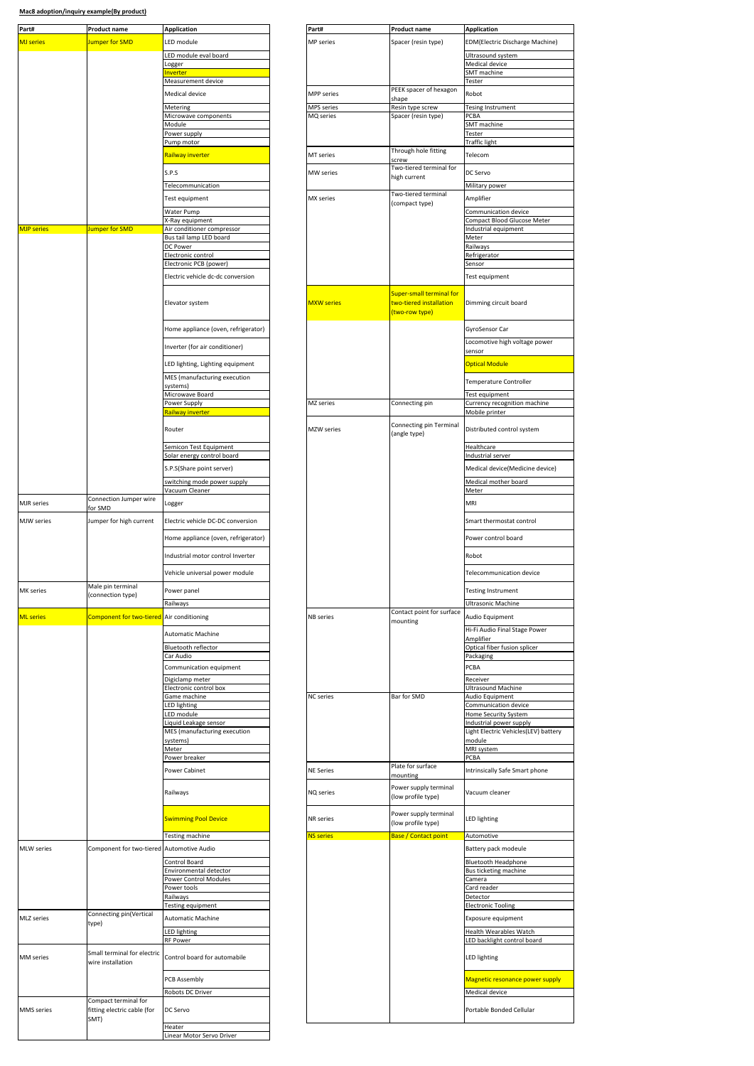| Part#<br><b>Application</b><br>Part#<br><b>Product name</b><br>Jumper for SMD<br>LED module<br>MP series<br><b>MJ</b> series<br>LED module eval board<br>Logger | <b>Product name</b>              |                                                                              |
|-----------------------------------------------------------------------------------------------------------------------------------------------------------------|----------------------------------|------------------------------------------------------------------------------|
|                                                                                                                                                                 |                                  | <b>Application</b>                                                           |
|                                                                                                                                                                 | Spacer (resin type)              | <b>EDM</b> (Electric Discharge N                                             |
|                                                                                                                                                                 |                                  | Ultrasound system                                                            |
|                                                                                                                                                                 |                                  | Medical device                                                               |
| nverter<br>Measurement device                                                                                                                                   |                                  | SMT machine<br>Tester                                                        |
|                                                                                                                                                                 | PEEK spacer of hexagon           |                                                                              |
| Medical device<br><b>MPP</b> series                                                                                                                             | shape                            | Robot                                                                        |
| MPS series<br>Metering                                                                                                                                          | Resin type screw                 | Tesing Instrument                                                            |
| Microwave components<br>MQ series<br>Module                                                                                                                     | Spacer (resin type)              | PCBA<br>SMT machine                                                          |
| Power supply                                                                                                                                                    |                                  | Tester                                                                       |
| Pump motor                                                                                                                                                      |                                  | Traffic light                                                                |
| <mark>Railway inverter</mark><br>MT series                                                                                                                      | Through hole fitting             | Telecom                                                                      |
|                                                                                                                                                                 | screw<br>Two-tiered terminal for |                                                                              |
| S.P.S<br>MW series                                                                                                                                              | high current                     | DC Servo                                                                     |
| Telecommunication                                                                                                                                               |                                  | Military power                                                               |
| MX series<br>Test equipment                                                                                                                                     | Two-tiered terminal              | Amplifier                                                                    |
| Water Pump                                                                                                                                                      | (compact type)                   | Communication device                                                         |
| K-Ray equipment                                                                                                                                                 |                                  | Compact Blood Glucose M                                                      |
| <b>MJP</b> series<br>Jumper for SMD<br>Air conditioner compressor                                                                                               |                                  | Industrial equipment                                                         |
| Bus tail lamp LED board<br>DC Power                                                                                                                             |                                  | Meter<br>Railways                                                            |
| Electronic control                                                                                                                                              |                                  | Refrigerator                                                                 |
| Electronic PCB (power)                                                                                                                                          |                                  | Sensor                                                                       |
| Electric vehicle dc-dc conversion                                                                                                                               |                                  | Test equipment                                                               |
|                                                                                                                                                                 | Super-small terminal for         |                                                                              |
| <b>MXW</b> series<br>Elevator system                                                                                                                            | two-tiered installation          | Dimming circuit board                                                        |
|                                                                                                                                                                 | (two-row type)                   |                                                                              |
|                                                                                                                                                                 |                                  |                                                                              |
| Home appliance (oven, refrigerator)                                                                                                                             |                                  | GyroSensor Car                                                               |
| Inverter (for air conditioner)                                                                                                                                  |                                  | Locomotive high voltage<br>sensor                                            |
|                                                                                                                                                                 |                                  |                                                                              |
| LED lighting, Lighting equipment                                                                                                                                |                                  | Optical Module                                                               |
| MES (manufacturing execution                                                                                                                                    |                                  | Temperature Controller                                                       |
| systems)<br>Microwave Board                                                                                                                                     |                                  | Test equipment                                                               |
| Power Supply<br>MZ series                                                                                                                                       | Connecting pin                   | Currency recognition mad                                                     |
| Railway inverter                                                                                                                                                |                                  | Mobile printer                                                               |
| Router<br>MZW series                                                                                                                                            | Connecting pin Terminal          | Distributed control syster                                                   |
|                                                                                                                                                                 | (angle type)                     |                                                                              |
| Semicon Test Equipment                                                                                                                                          |                                  | Healthcare                                                                   |
| Solar energy control board                                                                                                                                      |                                  | Industrial server                                                            |
| S.P.S(Share point server)                                                                                                                                       |                                  | Medical device(Medicine                                                      |
| switching mode power supply                                                                                                                                     |                                  | Medical mother board                                                         |
| Vacuum Cleaner<br>Connection Jumper wire                                                                                                                        |                                  | Meter                                                                        |
| MJR series<br>Logger<br>for SMD                                                                                                                                 |                                  | MRI                                                                          |
| MJW series<br>Electric vehicle DC-DC conversion<br>Jumper for high current                                                                                      |                                  | Smart thermostat control                                                     |
|                                                                                                                                                                 |                                  |                                                                              |
| Home appliance (oven, refrigerator)                                                                                                                             |                                  | Power control board                                                          |
| Industrial motor control Inverter                                                                                                                               |                                  | Robot                                                                        |
|                                                                                                                                                                 |                                  |                                                                              |
|                                                                                                                                                                 |                                  |                                                                              |
| Vehicle universal power module                                                                                                                                  |                                  |                                                                              |
| Male pin terminal                                                                                                                                               |                                  |                                                                              |
| MK series<br>Power panei<br>(connection type)                                                                                                                   |                                  | resting instrument                                                           |
| Railways                                                                                                                                                        | Contact point for surface        | Ultrasonic Machine                                                           |
| Component for two-tiered Air conditioning<br><b>NB</b> series                                                                                                   | mounting                         | Audio Equipment                                                              |
| <b>Automatic Machine</b>                                                                                                                                        |                                  | Telecommunication devid<br>Hi-Fi Audio Final Stage Po                        |
| Bluetooth reflector                                                                                                                                             |                                  | Amplifier                                                                    |
| Car Audio                                                                                                                                                       |                                  | Packaging                                                                    |
| <b>ML</b> series<br>Communication equipment                                                                                                                     |                                  | PCBA                                                                         |
| Digiclamp meter                                                                                                                                                 |                                  | Optical fiber fusion splice<br>Receiver                                      |
| Electronic control box                                                                                                                                          |                                  | Ultrasound Machine                                                           |
| Game machine<br><b>NC</b> series<br>LED lighting                                                                                                                | Bar for SMD                      | Audio Equipment<br>Communication device                                      |
| LED module                                                                                                                                                      |                                  | Home Security System                                                         |
| Liquid Leakage sensor                                                                                                                                           |                                  | Industrial power supply                                                      |
| MES (manufacturing execution<br>systems)                                                                                                                        |                                  | module                                                                       |
| Meter                                                                                                                                                           |                                  | MRI system                                                                   |
| Power breaker                                                                                                                                                   |                                  | PCBA                                                                         |
| <b>NE Series</b><br>Power Cabinet                                                                                                                               | Plate for surface                |                                                                              |
|                                                                                                                                                                 | mounting                         |                                                                              |
| NQ series<br>Railways                                                                                                                                           | Power supply terminal            | Light Electric Vehicles(LEV<br>Intrinsically Safe Smart pl<br>Vacuum cleaner |
|                                                                                                                                                                 | (low profile type)               |                                                                              |
| <b>Swimming Pool Device</b><br>NR series                                                                                                                        | Power supply terminal            | LED lighting                                                                 |
|                                                                                                                                                                 | (low profile type)               |                                                                              |
| Testing machine<br><b>NS series</b>                                                                                                                             | <b>Base / Contact point</b>      | Automotive                                                                   |
| Component for two-tiered Automotive Audio                                                                                                                       |                                  | Battery pack modeule                                                         |
| Control Board                                                                                                                                                   |                                  | <b>Bluetooth Headphone</b>                                                   |
| Environmental detector                                                                                                                                          |                                  | Bus ticketing machine                                                        |
| Power Control Modules                                                                                                                                           |                                  | Camera                                                                       |
| Power tools<br>Railways                                                                                                                                         |                                  | Card reader<br>Detector                                                      |
| Testing equipment                                                                                                                                               |                                  | <b>Electronic Tooling</b>                                                    |
| Connecting pin(Vertical<br><b>Automatic Machine</b>                                                                                                             |                                  | Exposure equipment                                                           |
| type)<br>LED lighting                                                                                                                                           |                                  |                                                                              |
| RF Power                                                                                                                                                        |                                  |                                                                              |
| Small terminal for electric                                                                                                                                     |                                  |                                                                              |
| Control board for automabile<br>wire installation                                                                                                               |                                  | Health Wearables Watch<br>LED backlight control boa<br>LED lighting          |
|                                                                                                                                                                 |                                  |                                                                              |
| PCB Assembly                                                                                                                                                    |                                  | Magnetic resonance pow                                                       |
| Robots DC Driver<br>Compact terminal for                                                                                                                        |                                  | Medical device                                                               |
| fitting electric cable (for<br>DC Servo                                                                                                                         |                                  | Portable Bonded Cellular                                                     |
| <b>MLW</b> series<br>MLZ series<br>MM series<br>MMS series<br>SMT)<br>Heater                                                                                    |                                  |                                                                              |

| Part#             | <b>Product name</b>                                         | <b>Application</b>                              | Part#             | <b>Product name</b>                                        | <b>Application</b>                                       |
|-------------------|-------------------------------------------------------------|-------------------------------------------------|-------------------|------------------------------------------------------------|----------------------------------------------------------|
| <b>MJ</b> series  | Jumper for SMD                                              | LED module                                      | MP series         | Spacer (resin type)                                        | EDM(Electric Discharge Machine)                          |
|                   |                                                             |                                                 |                   |                                                            |                                                          |
|                   |                                                             | LED module eval board<br>Logger                 |                   |                                                            | Ultrasound system<br>Medical device                      |
|                   |                                                             | nverter                                         |                   |                                                            | SMT machine                                              |
|                   |                                                             | Measurement device                              |                   |                                                            | Tester                                                   |
|                   |                                                             | Medical device                                  | <b>MPP</b> series | PEEK spacer of hexagon<br>shape                            | Robot                                                    |
|                   |                                                             | Metering                                        | MPS series        | Resin type screw                                           | Tesing Instrument                                        |
|                   |                                                             | Microwave components                            | MQ series         | Spacer (resin type)                                        | PCBA                                                     |
|                   |                                                             | Module<br>Power supply                          |                   |                                                            | SMT machine<br>Tester                                    |
|                   |                                                             | Pump motor                                      |                   |                                                            | Traffic light                                            |
|                   |                                                             | Railway inverter                                | MT series         | Through hole fitting                                       | Telecom                                                  |
|                   |                                                             |                                                 |                   | screw<br>Two-tiered terminal for                           |                                                          |
|                   |                                                             | S.P.S                                           | MW series         | high current                                               | DC Servo                                                 |
|                   |                                                             | Telecommunication                               |                   | Two-tiered terminal                                        | Military power                                           |
|                   |                                                             | Test equipment                                  | MX series         | (compact type)                                             | Amplifier                                                |
|                   |                                                             | Water Pump                                      |                   |                                                            | Communication device                                     |
| <b>MJP</b> series | Jumper for SMD                                              | X-Ray equipment<br>Air conditioner compressor   |                   |                                                            | Compact Blood Glucose Meter<br>Industrial equipment      |
|                   |                                                             | Bus tail lamp LED board                         |                   |                                                            | Meter                                                    |
|                   |                                                             | DC Power                                        |                   |                                                            | Railways                                                 |
|                   |                                                             | Electronic control<br>Electronic PCB (power)    |                   |                                                            | Refrigerator<br>Sensor                                   |
|                   |                                                             | Electric vehicle dc-dc conversion               |                   |                                                            | Test equipment                                           |
|                   |                                                             |                                                 |                   |                                                            |                                                          |
|                   |                                                             | Elevator system                                 | <b>MXW</b> series | <b>Super-small terminal for</b><br>two-tiered installation | Dimming circuit board                                    |
|                   |                                                             | Home appliance (oven, refrigerator)             |                   | (two-row type)                                             | GyroSensor Car                                           |
|                   |                                                             | Inverter (for air conditioner)                  |                   |                                                            | Locomotive high voltage power<br>sensor                  |
|                   |                                                             |                                                 |                   |                                                            |                                                          |
|                   |                                                             | LED lighting, Lighting equipment                |                   |                                                            | <b>Optical Module</b>                                    |
|                   |                                                             | MES (manufacturing execution<br>systems)        |                   |                                                            | Temperature Controller                                   |
|                   |                                                             | Microwave Board                                 |                   |                                                            | Test equipment                                           |
|                   |                                                             | Power Supply<br><mark>Railway inverter</mark>   | MZ series         | Connecting pin                                             | Currency recognition machine                             |
|                   |                                                             |                                                 |                   |                                                            | Mobile printer                                           |
|                   |                                                             | Router                                          | <b>MZW</b> series | Connecting pin Terminal<br>(angle type)                    | Distributed control system                               |
|                   |                                                             | Semicon Test Equipment                          |                   |                                                            | Healthcare                                               |
|                   |                                                             | Solar energy control board                      |                   |                                                            | Industrial server                                        |
|                   |                                                             | S.P.S(Share point server)                       |                   |                                                            | Medical device(Medicine device)                          |
|                   |                                                             | switching mode power supply                     |                   |                                                            | Medical mother board                                     |
|                   |                                                             | Vacuum Cleaner                                  |                   |                                                            | Meter                                                    |
| <b>MJR</b> series | Connection Jumper wire<br>for SMD                           | Logger                                          |                   |                                                            | MRI                                                      |
| MJW series        | Jumper for high current                                     | Electric vehicle DC-DC conversion               |                   |                                                            | Smart thermostat control                                 |
|                   |                                                             | Home appliance (oven, refrigerator)             |                   |                                                            | Power control board                                      |
|                   |                                                             | Industrial motor control Inverter               |                   |                                                            | Robot                                                    |
|                   |                                                             | Vehicle universal power module                  |                   |                                                            | Telecommunication device                                 |
|                   | Male pin terminal                                           |                                                 |                   |                                                            |                                                          |
| MK series         | (connection type)                                           | Power panel                                     |                   |                                                            | <b>Testing Instrument</b>                                |
|                   |                                                             | Railways                                        |                   |                                                            | Ultrasonic Machine                                       |
| <b>ML</b> series  | <b>Component for two-tiered</b> Air conditioning            |                                                 | <b>NB</b> series  | Contact point for surface<br>mounting                      | Audio Equipment                                          |
|                   |                                                             | Automatic Machine                               |                   |                                                            | Hi-Fi Audio Final Stage Power<br>Amplifier               |
|                   |                                                             | Bluetooth reflector                             |                   |                                                            | Optical fiber fusion splicer                             |
|                   |                                                             | Car Audio                                       |                   |                                                            | Packaging                                                |
|                   |                                                             | Communication equipment                         |                   |                                                            | PCBA                                                     |
|                   |                                                             | Digiclamp meter<br>Electronic control box       |                   |                                                            | Receiver<br>Ultrasound Machine                           |
|                   |                                                             | Game machine                                    | <b>NC</b> series  | Bar for SMD                                                | Audio Equipment                                          |
|                   |                                                             | LED lighting                                    |                   |                                                            | Communication device                                     |
|                   |                                                             | LED module<br>iquid Leakage sensor.             |                   |                                                            | Home Security System<br>Industrial power supply          |
|                   |                                                             | MES (manufacturing execution                    |                   |                                                            | Light Electric Vehicles(LEV) battery                     |
|                   |                                                             | systems)<br>Meter                               |                   |                                                            | module<br>MRI system                                     |
|                   |                                                             | Power breaker                                   |                   |                                                            | PCBA                                                     |
|                   |                                                             | Power Cabinet                                   | <b>NE Series</b>  | Plate for surface<br>mounting                              | Intrinsically Safe Smart phone                           |
|                   |                                                             | Railways                                        | NQ series         | Power supply terminal<br>(low profile type)                | Vacuum cleaner                                           |
|                   |                                                             | <b>Swimming Pool Device</b>                     | <b>NR</b> series  | Power supply terminal<br>(low profile type)                | <b>LED lighting</b>                                      |
|                   |                                                             | Testing machine                                 | <b>NS series</b>  | <b>Base / Contact point</b>                                | Automotive                                               |
| <b>MLW</b> series | Component for two-tiered Automotive Audio                   |                                                 |                   |                                                            | Battery pack modeule                                     |
|                   |                                                             | Control Board                                   |                   |                                                            | <b>Bluetooth Headphone</b>                               |
|                   |                                                             | Environmental detector<br>Power Control Modules |                   |                                                            | Bus ticketing machine<br>Camera                          |
|                   |                                                             | Power tools                                     |                   |                                                            | Card reader                                              |
|                   |                                                             | Railways<br><b>Testing equipment</b>            |                   |                                                            | Detector<br><b>Electronic Tooling</b>                    |
|                   |                                                             | <b>Automatic Machine</b>                        |                   |                                                            | Exposure equipment                                       |
|                   | Connecting pin(Vertical                                     |                                                 |                   |                                                            |                                                          |
|                   | type)                                                       |                                                 |                   |                                                            | Health Wearables Watch                                   |
| MLZ series        |                                                             | LED lighting<br>RF Power                        |                   |                                                            | LED backlight control board                              |
| MM series         | Small terminal for electric<br>wire installation            | Control board for automabile                    |                   |                                                            | LED lighting                                             |
|                   |                                                             |                                                 |                   |                                                            |                                                          |
|                   |                                                             | PCB Assembly<br>Robots DC Driver                |                   |                                                            | <b>Magnetic resonance power supply</b><br>Medical device |
| MMS series        | Compact terminal for<br>fitting electric cable (for<br>SMT) | DC Servo                                        |                   |                                                            | Portable Bonded Cellular                                 |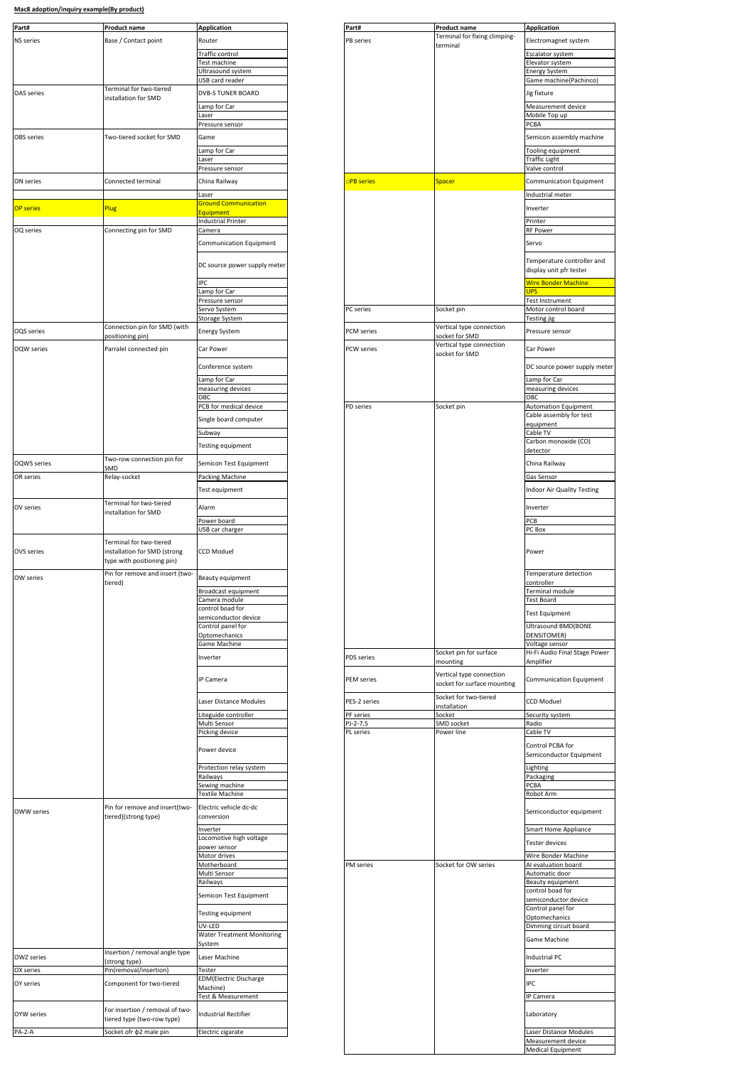| Part#              | Product name                                                                          | <b>Application</b>                        | Part#             | <b>Product name</b>                                     | <b>Application</b>                                    |
|--------------------|---------------------------------------------------------------------------------------|-------------------------------------------|-------------------|---------------------------------------------------------|-------------------------------------------------------|
|                    |                                                                                       |                                           |                   | Terminal for fixing climping-                           |                                                       |
| <b>NS</b> series   | Base / Contact point                                                                  | Router                                    | PB series         | terminal                                                | Electromagnet system                                  |
|                    |                                                                                       | Traffic control                           |                   |                                                         | Escalator system                                      |
|                    |                                                                                       | Test machine                              |                   |                                                         | Elevator system                                       |
|                    |                                                                                       | Ultrasound system                         |                   |                                                         | Energy System                                         |
|                    | Terminal for two-tiered                                                               | USB card reader                           |                   |                                                         | Game machine(Pachinco)                                |
| <b>OAS</b> series  | installation for SMD                                                                  | <b>DVB-S TUNER BOARD</b><br>Lamp for Car  |                   |                                                         | Jig fixture<br>Measurement device                     |
|                    |                                                                                       | Laser                                     |                   |                                                         | Mobile Top up                                         |
|                    |                                                                                       | Pressure sensor                           |                   |                                                         | <b>PCBA</b>                                           |
| <b>OBS</b> series  | Two-tiered socket for SMD                                                             | Game                                      |                   |                                                         | Semicon assembly machine                              |
|                    |                                                                                       |                                           |                   |                                                         |                                                       |
|                    |                                                                                       | Lamp for Car<br>Laser                     |                   |                                                         | Tooling equipment<br><b>Traffic Light</b>             |
|                    |                                                                                       | Pressure sensor                           |                   |                                                         | Valve control                                         |
| ON series          | Connected terminal                                                                    | China Railway                             | <b>PB</b> series  | <b>Spacer</b>                                           | <b>Communication Equipment</b>                        |
|                    |                                                                                       | Laser                                     |                   |                                                         | Industrial meter                                      |
| <b>OP series</b>   | <b>Plug</b>                                                                           | <b>Ground Communication</b><br>Equipment  |                   |                                                         | Inverter                                              |
|                    |                                                                                       | <b>Industrial Printer</b>                 |                   |                                                         | Printer                                               |
| OQ series          | Connecting pin for SMD                                                                | Camera                                    |                   |                                                         | <b>RF Power</b>                                       |
|                    |                                                                                       | Communication Equipment                   |                   |                                                         | Servo                                                 |
|                    |                                                                                       | DC source power supply meter              |                   |                                                         | Temperature controller and<br>display unit pfr tester |
|                    |                                                                                       | <b>IPC</b>                                |                   |                                                         | <b>Wire Bonder Machine</b>                            |
|                    |                                                                                       | Lamp for Car<br>Pressure sensor           |                   |                                                         | <b>UPS</b><br><b>Test Instrument</b>                  |
|                    |                                                                                       | Servo System                              | PC series         | Socket pin                                              | Motor control board                                   |
|                    |                                                                                       | Storage System                            |                   |                                                         | Testing jig                                           |
| OQS series         | Connection pin for SMD (with<br>positioning pin)                                      | <b>Energy System</b>                      | PCM series        | Vertical type connection<br>socket for SMD              | Pressure sensor                                       |
| <b>OQW</b> series  | Parralel connected pin                                                                | Car Power                                 | <b>PCW</b> series | Vertical type connection<br>socket for SMD              | Car Power                                             |
|                    |                                                                                       | Conference system                         |                   |                                                         | DC source power supply me                             |
|                    |                                                                                       | Lamp for Car                              |                   |                                                         | Lamp for Car                                          |
|                    |                                                                                       | measuring devices<br>OBC                  |                   |                                                         | measuring devices<br>OBC                              |
|                    |                                                                                       | PCB for medical device                    | PD series         | Socket pin                                              | <b>Automation Equipment</b>                           |
|                    |                                                                                       |                                           |                   |                                                         | Cable assembly for test                               |
|                    |                                                                                       | Single board computer                     |                   |                                                         | equipment                                             |
|                    |                                                                                       | Subway                                    |                   |                                                         | Cable TV                                              |
|                    |                                                                                       | Testing equipment                         |                   |                                                         | Carbon monoxide (CO)<br>detector                      |
| <b>OQWS</b> series | Two-row connection pin for<br>SMD                                                     | Semicon Test Equipment                    |                   |                                                         | China Railway                                         |
| OR series          | Relay-socket                                                                          | Packing Machine                           |                   |                                                         | Gas Sensor                                            |
|                    |                                                                                       | Test equipment                            |                   |                                                         | Indoor Air Quality Testing                            |
|                    | Terminal for two-tiered                                                               |                                           |                   |                                                         |                                                       |
| OV series          | installation for SMD                                                                  | Alarm                                     |                   |                                                         | Inverter                                              |
|                    |                                                                                       | Power board                               |                   |                                                         | PCB                                                   |
|                    |                                                                                       | USB car charger                           |                   |                                                         | PC Box                                                |
| OVS series         | Terminal for two-tiered<br>installation for SMD (strong<br>type with positioning pin) | <b>CCD Moduel</b>                         |                   |                                                         | Power                                                 |
| OW series          | Pin for remove and insert (two-<br>tiered)                                            | Beauty equipment                          |                   |                                                         | Temperature detection<br>controller                   |
|                    |                                                                                       | Broadcast equipment                       |                   |                                                         | Terminal module                                       |
|                    |                                                                                       | Camera module                             |                   |                                                         | Test Board                                            |
|                    |                                                                                       | control boad for                          |                   |                                                         | <b>Test Equipment</b>                                 |
|                    |                                                                                       | semiconductor device<br>Control panel for |                   |                                                         | <b>Ultrasound BMD(BONE</b>                            |
|                    |                                                                                       | Optomechanics                             |                   |                                                         | DENSITOMER)                                           |
|                    |                                                                                       | Game Machine                              |                   |                                                         | Voltage sensor                                        |
|                    |                                                                                       | Inverter                                  | PDS series        | Socket pin for surface                                  | Hi-Fi Audio Final Stage Pow                           |
|                    |                                                                                       |                                           |                   | mounting                                                | Amplifier                                             |
|                    |                                                                                       | <b>IP Camera</b>                          | PEM series        | Vertical type connection<br>socket for surface mounting | <b>Communication Equipment</b>                        |
|                    |                                                                                       | Laser Distance Modules                    | PES-2 series      | Socket for two-tiered<br>installation                   | <b>CCD Moduel</b>                                     |
|                    |                                                                                       | Liteguide controller                      | PF series         | Socket                                                  | Security system                                       |
|                    |                                                                                       | Multi Sensor                              | PJ-2-7.5          | SMD socket                                              | Radio                                                 |
|                    |                                                                                       | Picking device                            | PL series         | Power line                                              | Cable TV                                              |
|                    |                                                                                       | Power device                              |                   |                                                         | Control PCBA for<br>Semiconductor Equipment           |
|                    |                                                                                       | Protection relay system                   |                   |                                                         | Lighting                                              |
|                    |                                                                                       | Railways                                  |                   |                                                         | Packaging                                             |
|                    |                                                                                       | Sewing machine<br>Textile Machine         |                   |                                                         | <b>PCBA</b><br>Robot Arm                              |
|                    |                                                                                       |                                           |                   |                                                         |                                                       |

| <b>Product name</b>                                     | <b>Application</b>           | Part#             | Product name                                            | <b>Application</b>                  |
|---------------------------------------------------------|------------------------------|-------------------|---------------------------------------------------------|-------------------------------------|
|                                                         |                              |                   | Terminal for fixing climping-                           |                                     |
| Base / Contact point                                    | Router                       | <b>PB</b> series  | terminal                                                | Electromagnet system                |
|                                                         | Traffic control              |                   |                                                         | Escalator system                    |
|                                                         |                              |                   |                                                         |                                     |
|                                                         | Test machine                 |                   |                                                         | Elevator system                     |
|                                                         | Ultrasound system            |                   |                                                         | <b>Energy System</b>                |
|                                                         | USB card reader              |                   |                                                         | Game machine(Pachinco)              |
| Terminal for two-tiered<br>installation for SMD         | <b>DVB-S TUNER BOARD</b>     |                   |                                                         | Jig fixture                         |
|                                                         | Lamp for Car                 |                   |                                                         | Measurement device                  |
|                                                         | Laser                        |                   |                                                         | Mobile Top up                       |
|                                                         | Pressure sensor              |                   |                                                         | PCBA                                |
| Two-tiered socket for SMD                               | Game                         |                   |                                                         | Semicon assembly machine            |
|                                                         | Lamp for Car                 |                   |                                                         | Tooling equipment                   |
|                                                         | Laser                        |                   |                                                         | <b>Traffic Light</b>                |
|                                                         | Pressure sensor              |                   |                                                         | Valve control                       |
| Connected terminal                                      | China Railway                | <b>□PB series</b> | <b>Spacer</b>                                           | Communication Equipment             |
|                                                         | Laser                        |                   |                                                         | Industrial meter                    |
|                                                         | <b>Ground Communication</b>  |                   |                                                         |                                     |
| <b>Plug</b>                                             |                              |                   |                                                         | Inverter                            |
|                                                         | Equipment                    |                   |                                                         |                                     |
|                                                         | <b>Industrial Printer</b>    |                   |                                                         | Printer                             |
| Connecting pin for SMD                                  | Camera                       |                   |                                                         | <b>RF Power</b>                     |
|                                                         | Communication Equipment      |                   |                                                         | Servo                               |
|                                                         | DC source power supply meter |                   |                                                         | Temperature controller and          |
|                                                         |                              |                   |                                                         | display unit pfr tester             |
|                                                         | <b>IPC</b>                   |                   |                                                         | <b>Wire Bonder Machine</b>          |
|                                                         | Lamp for Car                 |                   |                                                         | <b>UPS</b>                          |
|                                                         | Pressure sensor              |                   |                                                         | Test Instrument                     |
|                                                         | Servo System                 | <b>PC</b> series  | Socket pin                                              | Motor control board                 |
|                                                         | <b>Storage System</b>        |                   |                                                         | Testing jig                         |
| Connection pin for SMD (with                            |                              |                   | Vertical type connection                                |                                     |
| positioning pin)                                        | <b>Energy System</b>         | PCM series        | socket for SMD<br>Vertical type connection              | Pressure sensor                     |
| Parralel connected pin                                  | Car Power                    | <b>PCW</b> series | socket for SMD                                          | Car Power                           |
|                                                         | Conference system            |                   |                                                         | DC source power supply meter        |
|                                                         | Lamp for Car                 |                   |                                                         | Lamp for Car                        |
|                                                         | measuring devices            |                   |                                                         | measuring devices                   |
|                                                         | OBC                          |                   |                                                         | OBC                                 |
|                                                         | PCB for medical device       | PD series         | Socket pin                                              | <b>Automation Equipment</b>         |
|                                                         |                              |                   |                                                         | Cable assembly for test             |
|                                                         | Single board computer        |                   |                                                         | equipment                           |
|                                                         | Subway                       |                   |                                                         | Cable TV                            |
|                                                         |                              |                   |                                                         | Carbon monoxide (CO)                |
|                                                         | Testing equipment            |                   |                                                         | detector                            |
| Two-row connection pin for                              |                              |                   |                                                         |                                     |
| <u>SMD</u>                                              | Semicon Test Equipment       |                   |                                                         | China Railway                       |
| Relay-socket                                            | Packing Machine              |                   |                                                         | Gas Sensor                          |
|                                                         |                              |                   |                                                         |                                     |
|                                                         | Test equipment               |                   |                                                         | <b>Indoor Air Quality Testing</b>   |
| Terminal for two-tiered                                 | Alarm                        |                   |                                                         | Inverter                            |
| installation for SMD                                    |                              |                   |                                                         |                                     |
|                                                         | Power board                  |                   |                                                         | PCB                                 |
|                                                         | USB car charger              |                   |                                                         | PC Box                              |
| Terminal for two-tiered<br>installation for SMD (strong | <b>CCD Moduel</b>            |                   |                                                         | Power                               |
| type with positioning pin)                              |                              |                   |                                                         |                                     |
| Pin for remove and insert (two-<br>tiered)              | Beauty equipment             |                   |                                                         | Temperature detection<br>controller |
|                                                         | Broadcast equipment          |                   |                                                         | Terminal module                     |
|                                                         | Camera module                |                   |                                                         | <b>Test Board</b>                   |
|                                                         | control boad for             |                   |                                                         |                                     |
|                                                         | semiconductor device         |                   |                                                         | <b>Test Equipment</b>               |
|                                                         | Control panel for            |                   |                                                         | <b>Ultrasound BMD(BONE</b>          |
|                                                         | Optomechanics                |                   |                                                         | DENSITOMER)                         |
|                                                         | Game Machine                 |                   |                                                         | Voltage sensor                      |
|                                                         | Inverter                     | <b>PDS</b> series | Socket pin for surface                                  | Hi-Fi Audio Final Stage Power       |
|                                                         |                              |                   | mounting                                                | Amplifier                           |
|                                                         | IP Camera                    | <b>PEM</b> series | Vertical type connection<br>socket for surface mounting | Communication Equipment             |
|                                                         | Laser Distance Modules       | PES-2 series      | Socket for two-tiered<br>installation                   | <b>CCD Moduel</b>                   |
|                                                         | Liteguide controller         | PF series         | Socket                                                  | Security system                     |
|                                                         | Multi Sensor                 | PJ-2-7.5          | SMD socket                                              | Radio                               |
|                                                         |                              | PL series         | Power line                                              |                                     |
|                                                         | Picking device               |                   |                                                         | Cable TV                            |
|                                                         |                              |                   |                                                         | Control PCBA for                    |
|                                                         | Power device                 |                   |                                                         | Semiconductor Equipment             |
|                                                         |                              |                   |                                                         |                                     |
|                                                         | Protection relay system      |                   |                                                         | Lighting                            |
|                                                         | Railways                     |                   |                                                         | Packaging                           |
|                                                         | Sewing machine               |                   |                                                         | PCBA                                |
|                                                         | Textile Machine              |                   |                                                         | Robot Arm                           |
|                                                         |                              |                   |                                                         |                                     |

| <b>OWW series</b> | Pin for remove and insert(two-<br>tiered)(strong type)        | Electric vehicle dc-dc<br>conversion        |           |                      | Semiconductor equipment                  |
|-------------------|---------------------------------------------------------------|---------------------------------------------|-----------|----------------------|------------------------------------------|
|                   |                                                               | Inverter                                    |           |                      | <b>Smart Home Appliance</b>              |
|                   |                                                               | Locomotive high voltage<br>power sensor     |           |                      | Tester devices                           |
|                   |                                                               | Motor drives                                |           |                      | Wire Bonder Machine                      |
|                   |                                                               | Motherboard                                 | PM series | Socket for OW series | AI evaluation board                      |
|                   |                                                               | Multi Sensor                                |           |                      | Automatic door                           |
|                   |                                                               | Railways                                    |           |                      | <b>Beauty equipment</b>                  |
|                   |                                                               | Semicon Test Equipment                      |           |                      | control boad for<br>semiconductor device |
|                   |                                                               | Testing equipment                           |           |                      | Control panel for<br>Optomechanics       |
|                   |                                                               | UV-LED                                      |           |                      | Dimming circuit board                    |
|                   |                                                               | <b>Water Treatment Monitoring</b><br>System |           |                      | <b>Game Machine</b>                      |
| OWZ series        | Insertion / removal angle type<br>(strong type)               | Laser Machine                               |           |                      | <b>Industrial PC</b>                     |
| OX series         | Pin(removal/insertion)                                        | Tester                                      |           |                      | Inverter                                 |
| OY series         | Component for two-tiered                                      | <b>EDM</b> (Electric Discharge<br>Machine)  |           |                      | <b>IPC</b>                               |
|                   |                                                               | Test & Measurement                          |           |                      | <b>IP Camera</b>                         |
| <b>OYW</b> series | For insertion / removal of two-<br>tiered type (two-row type) | <b>Industrial Rectifier</b>                 |           |                      | Laboratory                               |
| <b>PA-2-A</b>     | Socket ofr $\phi$ 2 male pin                                  | Electric cigarate                           |           |                      | Laser Distance Modules                   |
|                   |                                                               |                                             |           |                      | Measurement device                       |
|                   |                                                               |                                             |           |                      | <b>Medical Equipment</b>                 |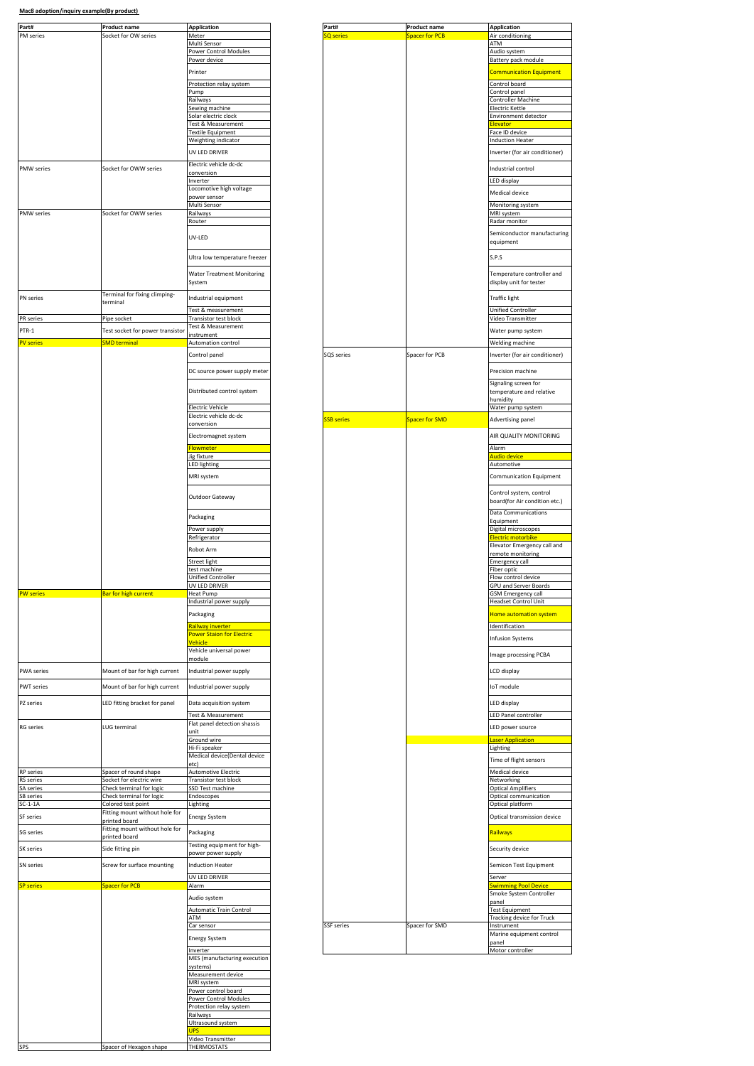| Part#<br>PM series            | Product name<br>Socket for OW series                 | <b>Application</b><br>Meter                          | Part#<br><b>Q</b> series | <b>Product name</b><br><b>Spacer for PCB</b> | <b>Application</b><br>Air conditioning                   |
|-------------------------------|------------------------------------------------------|------------------------------------------------------|--------------------------|----------------------------------------------|----------------------------------------------------------|
|                               |                                                      | Multi Sensor                                         |                          |                                              | ATM                                                      |
|                               |                                                      | Power Control Modules<br>Power device                |                          |                                              | Audio system<br>Battery pack module                      |
|                               |                                                      | Printer                                              |                          |                                              | <b>Communication Equipm</b>                              |
|                               |                                                      |                                                      |                          |                                              |                                                          |
|                               |                                                      | Protection relay system<br>Pump                      |                          |                                              | Control board<br>Control panel                           |
|                               |                                                      | Railways                                             |                          |                                              | Controller Machine                                       |
|                               |                                                      | Sewing machine<br>Solar electric clock               |                          |                                              | <b>Electric Kettle</b><br>Environment detector           |
|                               |                                                      | Test & Measurement                                   |                          |                                              | <b>levator</b>                                           |
|                               |                                                      | <b>Textile Equipment</b>                             |                          |                                              | Face ID device                                           |
|                               |                                                      | Weighting indicator                                  |                          |                                              | <b>Induction Heater</b>                                  |
|                               |                                                      | UV LED DRIVER                                        |                          |                                              | Inverter (for air conditio                               |
| PMW series                    | Socket for OWW series                                | Electric vehicle dc-dc<br>conversion                 |                          |                                              | Industrial control                                       |
|                               |                                                      | Inverter                                             |                          |                                              | LED display                                              |
|                               |                                                      | Locomotive high voltage                              |                          |                                              | Medical device                                           |
|                               |                                                      | power sensor<br>Multi Sensor                         |                          |                                              | Monitoring system                                        |
| PMW series                    | Socket for OWW series                                | Railways                                             |                          |                                              | MRI system                                               |
|                               |                                                      | Router                                               |                          |                                              | Radar monitor                                            |
|                               |                                                      | UV-LED                                               |                          |                                              | Semiconductor manufac<br>equipment                       |
|                               |                                                      |                                                      |                          |                                              |                                                          |
|                               |                                                      | Ultra low temperature freezer                        |                          |                                              | S.P.S                                                    |
|                               |                                                      | <b>Water Treatment Monitoring</b>                    |                          |                                              | Temperature controller                                   |
|                               |                                                      | System                                               |                          |                                              | display unit for tester                                  |
| PN series                     | Terminal for fixing climping-                        | Industrial equipment                                 |                          |                                              | <b>Traffic light</b>                                     |
|                               | terminal                                             |                                                      |                          |                                              |                                                          |
| PR series                     | Pipe socket                                          | Test & measurement<br>Transistor test block          |                          |                                              | Unified Controller<br>Video Transmitter                  |
| PTR-1                         | Test socket for power transistor                     | Test & Measurement                                   |                          |                                              | Water pump system                                        |
| <b>PV</b> series              | <b>SMD</b> terminal                                  | instrument<br>Automation control                     |                          |                                              | Welding machine                                          |
|                               |                                                      |                                                      | SQS series               | Spacer for PCB                               |                                                          |
|                               |                                                      | Control panel                                        |                          |                                              | Inverter (for air conditio                               |
|                               |                                                      | DC source power supply meter                         |                          |                                              | Precision machine                                        |
|                               |                                                      |                                                      |                          |                                              | Signaling screen for                                     |
|                               |                                                      | Distributed control system                           |                          |                                              | temperature and relative<br>humidity                     |
|                               |                                                      | <b>Electric Vehicle</b>                              |                          |                                              | Water pump system                                        |
|                               |                                                      | Electric vehicle dc-dc                               | <b>SSB series</b>        | Spacer for SMD                               | Advertising panel                                        |
|                               |                                                      | conversion                                           |                          |                                              |                                                          |
|                               |                                                      | Electromagnet system                                 |                          |                                              | AIR QUALITY MONITORII                                    |
|                               |                                                      | Flowmeter                                            |                          |                                              | Alarm                                                    |
|                               |                                                      | Jig fixture<br><b>LED lighting</b>                   |                          |                                              | Audio device<br>Automotive                               |
|                               |                                                      | MRI system                                           |                          |                                              | Communication Equipm                                     |
|                               |                                                      |                                                      |                          |                                              |                                                          |
|                               |                                                      | Outdoor Gateway                                      |                          |                                              | Control system, control<br>board(for Air condition e     |
|                               |                                                      |                                                      |                          |                                              | <b>Data Communications</b>                               |
|                               |                                                      | Packaging                                            |                          |                                              | Equipment                                                |
|                               |                                                      | Power supply                                         |                          |                                              | Digital microscopes                                      |
|                               |                                                      | Refrigerator                                         |                          |                                              | Electric motorbike<br>Elevator Emergency call            |
|                               |                                                      | Robot Arm                                            |                          |                                              | remote monitoring                                        |
|                               |                                                      | Street light                                         |                          |                                              | <b>Emergency call</b>                                    |
|                               |                                                      | test machine<br>Unified Controller                   |                          |                                              | Fiber optic<br>Flow control device                       |
|                               |                                                      | <b>UV LED DRIVER</b>                                 |                          |                                              | GPU and Server Boards                                    |
| <b>PW</b> series              | Bar for high current                                 | Heat Pump<br>Industrial power supply                 |                          |                                              | <b>GSM Emergency call</b><br><b>Headset Control Unit</b> |
|                               |                                                      | Packaging                                            |                          |                                              |                                                          |
|                               |                                                      |                                                      |                          |                                              | Home automation syster                                   |
|                               |                                                      | Railway inverter<br><b>Power Staion for Electric</b> |                          |                                              | Identification                                           |
|                               |                                                      | Vehicle                                              |                          |                                              | <b>Infusion Systems</b>                                  |
|                               |                                                      | Vehicle universal power                              |                          |                                              | Image processing PCBA                                    |
|                               |                                                      | module                                               |                          |                                              |                                                          |
| PWA series                    | Mount of bar for high current                        | Industrial power supply                              |                          |                                              | LCD display                                              |
| PWT series                    | Mount of bar for high current                        | Industrial power supply                              |                          |                                              | IoT module                                               |
|                               |                                                      |                                                      |                          |                                              |                                                          |
| PZ series                     | LED fitting bracket for panel                        | Data acquisition system                              |                          |                                              | LED display                                              |
|                               |                                                      | Test & Measurement<br>Flat panel detection shassis   |                          |                                              | LED Panel controller                                     |
| <b>RG</b> series              | LUG terminal                                         | unit                                                 |                          |                                              | LED power source                                         |
|                               |                                                      | Ground wire<br>Hi-Fi speaker                         |                          |                                              | aser Application<br>Lighting                             |
|                               |                                                      | Medical device(Dental device                         |                          |                                              |                                                          |
|                               |                                                      | etc)                                                 |                          |                                              | Time of flight sensors                                   |
| RP series<br><b>RS</b> series | Spacer of round shape<br>Socket for electric wire    | <b>Automotive Electric</b><br>Transistor test block  |                          |                                              | Medical device<br>Networking                             |
| SA series                     | Check terminal for logic                             | SSD Test machine                                     |                          |                                              | <b>Optical Amplifiers</b>                                |
| SB series                     | Check terminal for logic                             | Endoscopes                                           |                          |                                              | Optical communication                                    |
| $SC-1-1A$                     | Colored test point<br>Fitting mount without hole for | Lighting                                             |                          |                                              | Optical platform                                         |
| SF series                     | printed board                                        | <b>Energy System</b>                                 |                          |                                              | Optical transmission dev                                 |
| SG series                     | Fitting mount without hole for                       | Packaging                                            |                          |                                              | Railways                                                 |
|                               | printed board                                        | Testing equipment for high-                          |                          |                                              |                                                          |
| SK series                     | Side fitting pin                                     | power power supply                                   |                          |                                              | Security device                                          |
| SN series                     | Screw for surface mounting                           | <b>Induction Heater</b>                              |                          |                                              | Semicon Test Equipment                                   |
|                               |                                                      | UV LED DRIVER                                        |                          |                                              | Server                                                   |
| <b>SP</b> series              | Spacer for PCB                                       | Alarm                                                |                          |                                              | <b>Swimming Pool Device</b>                              |
|                               |                                                      | Audio system                                         |                          |                                              | Smoke System Controlle<br>panel                          |
|                               |                                                      | <b>Automatic Train Control</b>                       |                          |                                              | <b>Test Equipment</b>                                    |
|                               |                                                      | ATM                                                  |                          |                                              | Tracking device for Truck                                |
|                               |                                                      | Car sensor                                           | <b>SSF</b> series        | Spacer for SMD                               | Instrument<br>Marine equipment contr                     |
|                               |                                                      | Energy System                                        |                          |                                              | panel                                                    |
|                               |                                                      | Inverter                                             |                          |                                              | Motor controller                                         |
|                               |                                                      | MES (manufacturing execution                         |                          |                                              |                                                          |
|                               |                                                      | systems)<br>Measurement device                       |                          |                                              |                                                          |
|                               |                                                      | MRI system                                           |                          |                                              |                                                          |
|                               |                                                      | Power control board                                  |                          |                                              |                                                          |
|                               |                                                      | Power Control Modules<br>Protection relay system     |                          |                                              |                                                          |
|                               |                                                      | Railways                                             |                          |                                              |                                                          |
|                               |                                                      | Ultrasound system<br><b>JPS</b>                      |                          |                                              |                                                          |
|                               |                                                      | Video Transmitter                                    |                          |                                              |                                                          |
| SPS                           | Spacer of Hexagon shape                              | THERMOSTATS                                          |                          |                                              |                                                          |

| <u>Product name</u>                                  | <b>Application</b>                                 | Part#             | <b>Product name</b>   | <b>Application</b>                    |
|------------------------------------------------------|----------------------------------------------------|-------------------|-----------------------|---------------------------------------|
| Socket for OW series                                 | Meter<br>Multi Sensor                              | <b>SQ</b> series  | Spacer for PCB        | Air conditioning<br>ATM               |
|                                                      | Power Control Modules                              |                   |                       | Audio system                          |
|                                                      | Power device                                       |                   |                       | Battery pack module                   |
|                                                      | Printer                                            |                   |                       | <b>Communication Equipment</b>        |
|                                                      | Protection relay system                            |                   |                       | Control board                         |
|                                                      | Pump                                               |                   |                       | Control panel                         |
|                                                      | Railways                                           |                   |                       | Controller Machine                    |
|                                                      | Sewing machine                                     |                   |                       | Electric Kettle                       |
|                                                      | Solar electric clock<br>Test & Measurement         |                   |                       | Environment detector<br>Elevator      |
|                                                      | <b>Textile Equipment</b>                           |                   |                       | Face ID device                        |
|                                                      | Weighting indicator                                |                   |                       | <b>Induction Heater</b>               |
|                                                      | UV LED DRIVER                                      |                   |                       | Inverter (for air conditioner)        |
|                                                      | Electric vehicle dc-dc                             |                   |                       |                                       |
| Socket for OWW series                                | conversion                                         |                   |                       | Industrial control                    |
|                                                      | Inverter                                           |                   |                       | LED display                           |
|                                                      | Locomotive high voltage                            |                   |                       | <b>Medical device</b>                 |
|                                                      | power sensor                                       |                   |                       |                                       |
| Socket for OWW series                                | Multi Sensor<br>Railways                           |                   |                       | Monitoring system<br>MRI system       |
|                                                      | Router                                             |                   |                       | Radar monitor                         |
|                                                      |                                                    |                   |                       | Semiconductor manufacturing           |
|                                                      | UV-LED                                             |                   |                       | equipment                             |
|                                                      |                                                    |                   |                       |                                       |
|                                                      | Ultra low temperature freezer                      |                   |                       | S.P.S                                 |
|                                                      | <b>Water Treatment Monitoring</b>                  |                   |                       | Temperature controller and            |
|                                                      | System                                             |                   |                       | display unit for tester               |
|                                                      |                                                    |                   |                       |                                       |
| Terminal for fixing climping-<br>terminal            | Industrial equipment                               |                   |                       | <b>Traffic light</b>                  |
|                                                      | Test & measurement                                 |                   |                       | Unified Controller                    |
| Pipe socket                                          | Transistor test block                              |                   |                       | Video Transmitter                     |
| Test socket for power transistor                     | Test & Measurement                                 |                   |                       | Water pump system                     |
| <b>SMD</b> terminal                                  | instrument<br>Automation control                   |                   |                       | Welding machine                       |
|                                                      |                                                    |                   |                       |                                       |
|                                                      | Control panel                                      | SQS series        | Spacer for PCB        | Inverter (for air conditioner)        |
|                                                      | DC source power supply meter                       |                   |                       | Precision machine                     |
|                                                      |                                                    |                   |                       | Signaling screen for                  |
|                                                      | Distributed control system                         |                   |                       | temperature and relative              |
|                                                      |                                                    |                   |                       | humidity                              |
|                                                      | <b>Electric Vehicle</b>                            |                   |                       | Water pump system                     |
|                                                      | Electric vehicle dc-dc                             | <b>SSB</b> series | <b>Spacer for SMD</b> | Advertising panel                     |
|                                                      | conversion                                         |                   |                       |                                       |
|                                                      | Electromagnet system                               |                   |                       | AIR QUALITY MONITORING                |
|                                                      | Flowmeter                                          |                   |                       | Alarm                                 |
|                                                      | Jig fixture                                        |                   |                       | Audio device                          |
|                                                      | LED lighting                                       |                   |                       | Automotive                            |
|                                                      | MRI system                                         |                   |                       | Communication Equipment               |
|                                                      |                                                    |                   |                       | Control system, control               |
|                                                      | Outdoor Gateway                                    |                   |                       | board(for Air condition etc.)         |
|                                                      |                                                    |                   |                       | <b>Data Communications</b>            |
|                                                      | Packaging                                          |                   |                       | Equipment                             |
|                                                      | Power supply                                       |                   |                       | Digital microscopes                   |
|                                                      | Refrigerator                                       |                   |                       | <mark>Electric motorbik</mark>        |
|                                                      | Robot Arm                                          |                   |                       | Elevator Emergency call and           |
|                                                      | Street light                                       |                   |                       | remote monitoring<br>Emergency call   |
|                                                      | test machine                                       |                   |                       | Fiber optic                           |
|                                                      | Unified Controller                                 |                   |                       | Flow control device                   |
|                                                      | UV LED DRIVER                                      |                   |                       | <b>GPU and Server Boards</b>          |
| Bar for high current                                 | . Pulli<br>Industrial power supply                 |                   |                       | SM Eme<br><b>Headset Control Unit</b> |
|                                                      |                                                    |                   |                       |                                       |
|                                                      | Packaging                                          |                   |                       | Home automation system                |
|                                                      | Railway inverter                                   |                   |                       | Identification                        |
|                                                      | <b>Power Staion for Electric</b><br>Vehicle        |                   |                       | <b>Infusion Systems</b>               |
|                                                      | Vehicle universal power                            |                   |                       |                                       |
|                                                      | module                                             |                   |                       | Image processing PCBA                 |
| Mount of bar for high current                        | Industrial power supply                            |                   |                       | LCD display                           |
|                                                      |                                                    |                   |                       |                                       |
| Mount of bar for high current                        | Industrial power supply                            |                   |                       | IoT module                            |
| LED fitting bracket for panel                        | Data acquisition system                            |                   |                       | LED display                           |
|                                                      |                                                    |                   |                       |                                       |
|                                                      | Test & Measurement<br>Flat panel detection shassis |                   |                       | LED Panel controller                  |
| LUG terminal                                         | unit                                               |                   |                       | LED power source                      |
|                                                      | Ground wire                                        |                   |                       | aser Application                      |
|                                                      | Hi-Fi speaker                                      |                   |                       | Lighting                              |
|                                                      | Medical device(Dental device                       |                   |                       | Time of flight sensors                |
| Spacer of round shape                                | etc)<br><b>Automotive Electric</b>                 |                   |                       | Medical device                        |
| Socket for electric wire                             | <b>Transistor test block</b>                       |                   |                       | Networking                            |
| Check terminal for logic                             | SSD Test machine                                   |                   |                       | <b>Optical Amplifiers</b>             |
| Check terminal for logic                             | Endoscopes                                         |                   |                       | Optical communication                 |
| Colored test point<br>Fitting mount without hole for | Lighting                                           |                   |                       | Optical platform                      |
| printed board                                        | <b>Energy System</b>                               |                   |                       | Optical transmission device           |
| Fitting mount without hole for                       |                                                    |                   |                       |                                       |
| printed board                                        | Packaging                                          |                   |                       | Railways                              |
| Side fitting pin                                     | Testing equipment for high-                        |                   |                       | Security device                       |
|                                                      | power power supply                                 |                   |                       |                                       |
| Screw for surface mounting                           | <b>Induction Heater</b>                            |                   |                       | Semicon Test Equipment                |
|                                                      | UV LED DRIVER                                      |                   |                       | Server                                |
| <b>Spacer for PCB</b>                                | Alarm                                              |                   |                       | <b>Swimming Pool Device</b>           |
|                                                      | Audio system                                       |                   |                       | Smoke System Controller               |
|                                                      | Automatic Train Control                            |                   |                       | panel<br><b>Test Equipment</b>        |
|                                                      | ATM                                                |                   |                       | <b>Tracking device for Truck</b>      |
|                                                      |                                                    |                   |                       |                                       |
|                                                      | Car sensor                                         | <b>SSF</b> series | Spacer for SMD        | Instrument                            |
|                                                      | <b>Energy System</b>                               |                   |                       | Marine equipment control<br>panel     |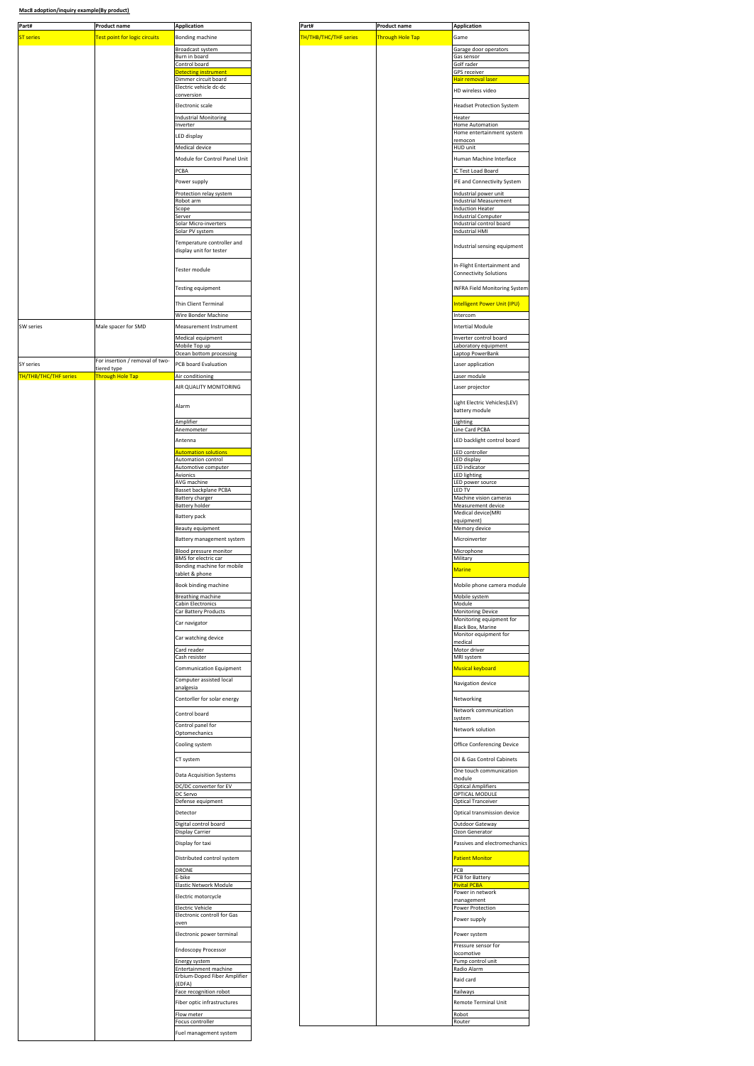| Product name<br><b>Application</b>                                                  |
|-------------------------------------------------------------------------------------|
| <b>ST series</b><br><b>Test point for logic circuits</b><br>Bonding machine         |
| Broadcast syster                                                                    |
| Burn in board<br>Control board                                                      |
| etecting instrument                                                                 |
| Dimmer circuit board<br>Electric vehicle dc-dc                                      |
| conversior                                                                          |
| Electronic scale                                                                    |
| Industrial Monitoring                                                               |
| nverte                                                                              |
| LED display                                                                         |
| Medical device                                                                      |
| Module for Control Panel Unit                                                       |
| PCBA                                                                                |
| Power supply                                                                        |
| Protection relay system<br>Robot arm                                                |
| Scope                                                                               |
| Solar Micro-inverters                                                               |
| Solar PV system                                                                     |
| Temperature controller and                                                          |
| display unit for tester                                                             |
| Tester module                                                                       |
| Testing equipment                                                                   |
|                                                                                     |
| Thin Client Terminal                                                                |
| Wire Bonder Machine                                                                 |
| SW series<br>Male spacer for SMD<br>Measurement Instrument                          |
| Medical equipment                                                                   |
| Mobile Top up<br>Ocean bottom processing                                            |
| For insertion / removal of two-<br>SY series<br>PCB board Evaluation<br>tiered type |
| <b>TH/THB/THC/THF series</b><br><b>Through Hole Tap</b><br>Air conditioning         |
| AIR QUALITY MONITORING                                                              |
|                                                                                     |
| Alarm                                                                               |
| Amplifier                                                                           |
| Anemometer                                                                          |
| Antenna                                                                             |
| <mark>Automation solutions</mark><br>Automation control                             |
| Automotive computer                                                                 |
| Avionics<br>AVG machine                                                             |
| Basset backplane PCBA<br><b>Battery charger</b>                                     |
| <b>Battery holder</b>                                                               |
| Battery pack                                                                        |
| <b>Beauty equipment</b>                                                             |
| Battery management system                                                           |
| Blood pressure monitor                                                              |
| <b>BMS</b> for electric car                                                         |
| Bonding machine for mobile<br>tablet & phone                                        |
| Book binding machine                                                                |
| <b>Breathing machine</b>                                                            |
| Cabin Electronics                                                                   |
| Car Battery Products                                                                |
| Car navigator                                                                       |
| Car watching device                                                                 |
| Card reader                                                                         |
| Cash resister                                                                       |
| Communication Equipment                                                             |
| Computer assisted local<br>analgesia                                                |
| Contorller for solar energy                                                         |
|                                                                                     |
| Control board                                                                       |
| Control panel for<br>Optomechanics                                                  |
| Cooling system                                                                      |
|                                                                                     |
| CT system                                                                           |
| Data Acquisition Systems                                                            |
| DC/DC converter for EV                                                              |
| DC Servo                                                                            |
| Defense equipment                                                                   |
| Detector<br>Digital control board                                                   |
| Display Carrier                                                                     |
| Display for taxi                                                                    |
| Distributed control system                                                          |
| DRONE                                                                               |
| E-bike                                                                              |
| Elastic Network Module                                                              |
| Electric motorcycle                                                                 |
|                                                                                     |
| Electric Vehicle                                                                    |
| Electronic controll for Gas<br>oven                                                 |
| Electronic power terminal                                                           |
| <b>Endoscopy Processor</b>                                                          |
| Energy system                                                                       |
| Entertainment machine                                                               |
| Erbium-Doped Fiber Amplifier<br>EDFA)                                               |
| Face recognition robot                                                              |
| Fiber optic infrastructures                                                         |
| Flow meter                                                                          |
| Focus controller<br>Fuel management system                                          |

| Garage door operators<br>Burn in board<br>Gas sensor<br>Golf rader<br><b>GPS</b> receiver<br>Dimmer circuit board<br>Hair removal laser<br>HD wireless video<br>conversion<br><b>Headset Protection System</b><br>Heater<br><b>Home Automation</b><br>Home entertainment system<br>remocon<br>Medical device<br><b>HUD unit</b><br>Module for Control Panel Unit<br>Human Machine Interface<br>PCBA<br>IC Test Load Board<br>IFE and Connectivity System<br>Industrial power unit<br><b>Industrial Measurement</b><br>Scope<br><b>Induction Heater</b><br>Server<br><b>Industrial Computer</b><br>Industrial control board<br>Solar Micro-inverters<br>Solar PV system<br>Industrial HMI<br>Temperature controller and<br>Industrial sensing equipment<br>display unit for tester<br>In-Flight Entertainment and<br>Tester module<br><b>Connectivity Solutions</b><br><b>Testing equipment</b><br><b>INFRA Field Monitoring System</b><br>Intelligent Power Unit (IPU)<br>Thin Client Terminal<br>Wire Bonder Machine<br>Intercom<br><b>Intertial Module</b><br>Inverter control board<br>Mobile Top up<br>aboratory equipment<br>aptop PowerBank<br>Laser application<br>Laser module<br>AIR QUALITY MONITORING<br>Laser projector<br>Light Electric Vehicles(LEV)<br>battery module<br>Amplifier<br>Lighting<br>Line Card PCBA<br>Anemometer<br>LED backlight control board<br><b>Automation solutions</b><br>LED controller<br><b>Automation control</b><br>LED display<br>Automotive computer<br>LED indicator<br>Avionics<br>LED lighting<br>AVG machine<br>LED power source<br>Basset backplane PCBA<br>LED TV<br><b>Battery charger</b><br>Machine vision cameras<br><b>Battery holder</b><br>Measurement device<br>Medical device(MRI<br>equipment)<br><b>Beauty equipment</b><br>Memory device<br>Battery management system<br>Microinverter<br>Blood pressure monitor<br>Microphone<br>Military<br>Bonding machine for mobile<br>Marine<br>Book binding machine<br>Mobile phone camera module<br><b>Rrea</b><br><b>Cabin Electronics</b><br>Module<br><b>Monitoring Device</b><br>Monitoring equipment for<br><b>Black Box, Marine</b><br>Monitor equipment for<br>medical<br>Motor driver<br>MRI system<br>Communication Equipment<br><b>Musical keyboard</b><br>Computer assisted local<br>Navigation device<br>analgesia<br>Contorller for solar energy<br>Networking<br>Network communication<br>system<br>Control panel for<br>Network solution<br>Cooling system<br>Office Conferencing Device<br>Oil & Gas Control Cabinets<br>CT system<br>One touch communication<br>Data Acquisition Systems<br>module<br><b>Optical Amplifiers</b><br>OPTICAL MODULE<br>Optical Tranceiver<br>Detector<br>Optical transmission device<br>Digital control board<br>Outdoor Gateway<br>Display Carrier<br>Ozon Generator<br>Display for taxi<br>Passives and electromechanics<br>Distributed control system<br><b>Patient Monitor</b><br>PCB<br>DRONE<br>E-bike<br>PCB for Battery<br>Pivital PCRA<br>Elastic Network Module<br>Power in network<br>Electric motorcycle<br>management<br>Electric Vehicle<br><b>Power Protection</b><br>Electronic controll for Gas<br>Power supply<br>oven<br>Electronic power terminal<br>Power system<br>Pressure sensor for<br>locomotive<br>Pump control unit<br>Radio Alarm<br>Raid card<br>(EDFA)<br>Railways<br>Remote Terminal Unit<br>Flow meter<br>Robot<br>Focus controller<br>Router | Bonding machine                               |
|--------------------------------------------------------------------------------------------------------------------------------------------------------------------------------------------------------------------------------------------------------------------------------------------------------------------------------------------------------------------------------------------------------------------------------------------------------------------------------------------------------------------------------------------------------------------------------------------------------------------------------------------------------------------------------------------------------------------------------------------------------------------------------------------------------------------------------------------------------------------------------------------------------------------------------------------------------------------------------------------------------------------------------------------------------------------------------------------------------------------------------------------------------------------------------------------------------------------------------------------------------------------------------------------------------------------------------------------------------------------------------------------------------------------------------------------------------------------------------------------------------------------------------------------------------------------------------------------------------------------------------------------------------------------------------------------------------------------------------------------------------------------------------------------------------------------------------------------------------------------------------------------------------------------------------------------------------------------------------------------------------------------------------------------------------------------------------------------------------------------------------------------------------------------------------------------------------------------------------------------------------------------------------------------------------------------------------------------------------------------------------------------------------------------------------------------------------------------------------------------------------------------------------------------------------------------------------------------------------------------------------------------------------------------------------------------------------------------------------------------------------------------------------------------------------------------------------------------------------------------------------------------------------------------------------------------------------------------------------------------------------------------------------------------------------------------------------------------------------------------------------------------------------------------------------------------------------------------------------------------------------------------------------------------------------------------------------------------------------------------------------------------------------------------------------------|-----------------------------------------------|
|                                                                                                                                                                                                                                                                                                                                                                                                                                                                                                                                                                                                                                                                                                                                                                                                                                                                                                                                                                                                                                                                                                                                                                                                                                                                                                                                                                                                                                                                                                                                                                                                                                                                                                                                                                                                                                                                                                                                                                                                                                                                                                                                                                                                                                                                                                                                                                                                                                                                                                                                                                                                                                                                                                                                                                                                                                                                                                                                                                                                                                                                                                                                                                                                                                                                                                                                                                                                                                      | Broadcast system                              |
|                                                                                                                                                                                                                                                                                                                                                                                                                                                                                                                                                                                                                                                                                                                                                                                                                                                                                                                                                                                                                                                                                                                                                                                                                                                                                                                                                                                                                                                                                                                                                                                                                                                                                                                                                                                                                                                                                                                                                                                                                                                                                                                                                                                                                                                                                                                                                                                                                                                                                                                                                                                                                                                                                                                                                                                                                                                                                                                                                                                                                                                                                                                                                                                                                                                                                                                                                                                                                                      | Control board                                 |
|                                                                                                                                                                                                                                                                                                                                                                                                                                                                                                                                                                                                                                                                                                                                                                                                                                                                                                                                                                                                                                                                                                                                                                                                                                                                                                                                                                                                                                                                                                                                                                                                                                                                                                                                                                                                                                                                                                                                                                                                                                                                                                                                                                                                                                                                                                                                                                                                                                                                                                                                                                                                                                                                                                                                                                                                                                                                                                                                                                                                                                                                                                                                                                                                                                                                                                                                                                                                                                      | <b>Detecting instrument</b>                   |
|                                                                                                                                                                                                                                                                                                                                                                                                                                                                                                                                                                                                                                                                                                                                                                                                                                                                                                                                                                                                                                                                                                                                                                                                                                                                                                                                                                                                                                                                                                                                                                                                                                                                                                                                                                                                                                                                                                                                                                                                                                                                                                                                                                                                                                                                                                                                                                                                                                                                                                                                                                                                                                                                                                                                                                                                                                                                                                                                                                                                                                                                                                                                                                                                                                                                                                                                                                                                                                      | Electric vehicle dc-dc                        |
|                                                                                                                                                                                                                                                                                                                                                                                                                                                                                                                                                                                                                                                                                                                                                                                                                                                                                                                                                                                                                                                                                                                                                                                                                                                                                                                                                                                                                                                                                                                                                                                                                                                                                                                                                                                                                                                                                                                                                                                                                                                                                                                                                                                                                                                                                                                                                                                                                                                                                                                                                                                                                                                                                                                                                                                                                                                                                                                                                                                                                                                                                                                                                                                                                                                                                                                                                                                                                                      | Electronic scale                              |
|                                                                                                                                                                                                                                                                                                                                                                                                                                                                                                                                                                                                                                                                                                                                                                                                                                                                                                                                                                                                                                                                                                                                                                                                                                                                                                                                                                                                                                                                                                                                                                                                                                                                                                                                                                                                                                                                                                                                                                                                                                                                                                                                                                                                                                                                                                                                                                                                                                                                                                                                                                                                                                                                                                                                                                                                                                                                                                                                                                                                                                                                                                                                                                                                                                                                                                                                                                                                                                      | <b>Industrial Monitoring</b>                  |
|                                                                                                                                                                                                                                                                                                                                                                                                                                                                                                                                                                                                                                                                                                                                                                                                                                                                                                                                                                                                                                                                                                                                                                                                                                                                                                                                                                                                                                                                                                                                                                                                                                                                                                                                                                                                                                                                                                                                                                                                                                                                                                                                                                                                                                                                                                                                                                                                                                                                                                                                                                                                                                                                                                                                                                                                                                                                                                                                                                                                                                                                                                                                                                                                                                                                                                                                                                                                                                      | Inverter                                      |
|                                                                                                                                                                                                                                                                                                                                                                                                                                                                                                                                                                                                                                                                                                                                                                                                                                                                                                                                                                                                                                                                                                                                                                                                                                                                                                                                                                                                                                                                                                                                                                                                                                                                                                                                                                                                                                                                                                                                                                                                                                                                                                                                                                                                                                                                                                                                                                                                                                                                                                                                                                                                                                                                                                                                                                                                                                                                                                                                                                                                                                                                                                                                                                                                                                                                                                                                                                                                                                      | LED display                                   |
|                                                                                                                                                                                                                                                                                                                                                                                                                                                                                                                                                                                                                                                                                                                                                                                                                                                                                                                                                                                                                                                                                                                                                                                                                                                                                                                                                                                                                                                                                                                                                                                                                                                                                                                                                                                                                                                                                                                                                                                                                                                                                                                                                                                                                                                                                                                                                                                                                                                                                                                                                                                                                                                                                                                                                                                                                                                                                                                                                                                                                                                                                                                                                                                                                                                                                                                                                                                                                                      |                                               |
|                                                                                                                                                                                                                                                                                                                                                                                                                                                                                                                                                                                                                                                                                                                                                                                                                                                                                                                                                                                                                                                                                                                                                                                                                                                                                                                                                                                                                                                                                                                                                                                                                                                                                                                                                                                                                                                                                                                                                                                                                                                                                                                                                                                                                                                                                                                                                                                                                                                                                                                                                                                                                                                                                                                                                                                                                                                                                                                                                                                                                                                                                                                                                                                                                                                                                                                                                                                                                                      |                                               |
|                                                                                                                                                                                                                                                                                                                                                                                                                                                                                                                                                                                                                                                                                                                                                                                                                                                                                                                                                                                                                                                                                                                                                                                                                                                                                                                                                                                                                                                                                                                                                                                                                                                                                                                                                                                                                                                                                                                                                                                                                                                                                                                                                                                                                                                                                                                                                                                                                                                                                                                                                                                                                                                                                                                                                                                                                                                                                                                                                                                                                                                                                                                                                                                                                                                                                                                                                                                                                                      | Power supply                                  |
|                                                                                                                                                                                                                                                                                                                                                                                                                                                                                                                                                                                                                                                                                                                                                                                                                                                                                                                                                                                                                                                                                                                                                                                                                                                                                                                                                                                                                                                                                                                                                                                                                                                                                                                                                                                                                                                                                                                                                                                                                                                                                                                                                                                                                                                                                                                                                                                                                                                                                                                                                                                                                                                                                                                                                                                                                                                                                                                                                                                                                                                                                                                                                                                                                                                                                                                                                                                                                                      | Protection relay system                       |
|                                                                                                                                                                                                                                                                                                                                                                                                                                                                                                                                                                                                                                                                                                                                                                                                                                                                                                                                                                                                                                                                                                                                                                                                                                                                                                                                                                                                                                                                                                                                                                                                                                                                                                                                                                                                                                                                                                                                                                                                                                                                                                                                                                                                                                                                                                                                                                                                                                                                                                                                                                                                                                                                                                                                                                                                                                                                                                                                                                                                                                                                                                                                                                                                                                                                                                                                                                                                                                      | Robot arm                                     |
|                                                                                                                                                                                                                                                                                                                                                                                                                                                                                                                                                                                                                                                                                                                                                                                                                                                                                                                                                                                                                                                                                                                                                                                                                                                                                                                                                                                                                                                                                                                                                                                                                                                                                                                                                                                                                                                                                                                                                                                                                                                                                                                                                                                                                                                                                                                                                                                                                                                                                                                                                                                                                                                                                                                                                                                                                                                                                                                                                                                                                                                                                                                                                                                                                                                                                                                                                                                                                                      |                                               |
|                                                                                                                                                                                                                                                                                                                                                                                                                                                                                                                                                                                                                                                                                                                                                                                                                                                                                                                                                                                                                                                                                                                                                                                                                                                                                                                                                                                                                                                                                                                                                                                                                                                                                                                                                                                                                                                                                                                                                                                                                                                                                                                                                                                                                                                                                                                                                                                                                                                                                                                                                                                                                                                                                                                                                                                                                                                                                                                                                                                                                                                                                                                                                                                                                                                                                                                                                                                                                                      |                                               |
|                                                                                                                                                                                                                                                                                                                                                                                                                                                                                                                                                                                                                                                                                                                                                                                                                                                                                                                                                                                                                                                                                                                                                                                                                                                                                                                                                                                                                                                                                                                                                                                                                                                                                                                                                                                                                                                                                                                                                                                                                                                                                                                                                                                                                                                                                                                                                                                                                                                                                                                                                                                                                                                                                                                                                                                                                                                                                                                                                                                                                                                                                                                                                                                                                                                                                                                                                                                                                                      |                                               |
|                                                                                                                                                                                                                                                                                                                                                                                                                                                                                                                                                                                                                                                                                                                                                                                                                                                                                                                                                                                                                                                                                                                                                                                                                                                                                                                                                                                                                                                                                                                                                                                                                                                                                                                                                                                                                                                                                                                                                                                                                                                                                                                                                                                                                                                                                                                                                                                                                                                                                                                                                                                                                                                                                                                                                                                                                                                                                                                                                                                                                                                                                                                                                                                                                                                                                                                                                                                                                                      |                                               |
|                                                                                                                                                                                                                                                                                                                                                                                                                                                                                                                                                                                                                                                                                                                                                                                                                                                                                                                                                                                                                                                                                                                                                                                                                                                                                                                                                                                                                                                                                                                                                                                                                                                                                                                                                                                                                                                                                                                                                                                                                                                                                                                                                                                                                                                                                                                                                                                                                                                                                                                                                                                                                                                                                                                                                                                                                                                                                                                                                                                                                                                                                                                                                                                                                                                                                                                                                                                                                                      |                                               |
|                                                                                                                                                                                                                                                                                                                                                                                                                                                                                                                                                                                                                                                                                                                                                                                                                                                                                                                                                                                                                                                                                                                                                                                                                                                                                                                                                                                                                                                                                                                                                                                                                                                                                                                                                                                                                                                                                                                                                                                                                                                                                                                                                                                                                                                                                                                                                                                                                                                                                                                                                                                                                                                                                                                                                                                                                                                                                                                                                                                                                                                                                                                                                                                                                                                                                                                                                                                                                                      |                                               |
|                                                                                                                                                                                                                                                                                                                                                                                                                                                                                                                                                                                                                                                                                                                                                                                                                                                                                                                                                                                                                                                                                                                                                                                                                                                                                                                                                                                                                                                                                                                                                                                                                                                                                                                                                                                                                                                                                                                                                                                                                                                                                                                                                                                                                                                                                                                                                                                                                                                                                                                                                                                                                                                                                                                                                                                                                                                                                                                                                                                                                                                                                                                                                                                                                                                                                                                                                                                                                                      |                                               |
|                                                                                                                                                                                                                                                                                                                                                                                                                                                                                                                                                                                                                                                                                                                                                                                                                                                                                                                                                                                                                                                                                                                                                                                                                                                                                                                                                                                                                                                                                                                                                                                                                                                                                                                                                                                                                                                                                                                                                                                                                                                                                                                                                                                                                                                                                                                                                                                                                                                                                                                                                                                                                                                                                                                                                                                                                                                                                                                                                                                                                                                                                                                                                                                                                                                                                                                                                                                                                                      | Measurement Instrument                        |
|                                                                                                                                                                                                                                                                                                                                                                                                                                                                                                                                                                                                                                                                                                                                                                                                                                                                                                                                                                                                                                                                                                                                                                                                                                                                                                                                                                                                                                                                                                                                                                                                                                                                                                                                                                                                                                                                                                                                                                                                                                                                                                                                                                                                                                                                                                                                                                                                                                                                                                                                                                                                                                                                                                                                                                                                                                                                                                                                                                                                                                                                                                                                                                                                                                                                                                                                                                                                                                      | Medical equipment                             |
|                                                                                                                                                                                                                                                                                                                                                                                                                                                                                                                                                                                                                                                                                                                                                                                                                                                                                                                                                                                                                                                                                                                                                                                                                                                                                                                                                                                                                                                                                                                                                                                                                                                                                                                                                                                                                                                                                                                                                                                                                                                                                                                                                                                                                                                                                                                                                                                                                                                                                                                                                                                                                                                                                                                                                                                                                                                                                                                                                                                                                                                                                                                                                                                                                                                                                                                                                                                                                                      | Ocean bottom processing                       |
|                                                                                                                                                                                                                                                                                                                                                                                                                                                                                                                                                                                                                                                                                                                                                                                                                                                                                                                                                                                                                                                                                                                                                                                                                                                                                                                                                                                                                                                                                                                                                                                                                                                                                                                                                                                                                                                                                                                                                                                                                                                                                                                                                                                                                                                                                                                                                                                                                                                                                                                                                                                                                                                                                                                                                                                                                                                                                                                                                                                                                                                                                                                                                                                                                                                                                                                                                                                                                                      | PCB board Evaluation                          |
|                                                                                                                                                                                                                                                                                                                                                                                                                                                                                                                                                                                                                                                                                                                                                                                                                                                                                                                                                                                                                                                                                                                                                                                                                                                                                                                                                                                                                                                                                                                                                                                                                                                                                                                                                                                                                                                                                                                                                                                                                                                                                                                                                                                                                                                                                                                                                                                                                                                                                                                                                                                                                                                                                                                                                                                                                                                                                                                                                                                                                                                                                                                                                                                                                                                                                                                                                                                                                                      | Air conditioning                              |
|                                                                                                                                                                                                                                                                                                                                                                                                                                                                                                                                                                                                                                                                                                                                                                                                                                                                                                                                                                                                                                                                                                                                                                                                                                                                                                                                                                                                                                                                                                                                                                                                                                                                                                                                                                                                                                                                                                                                                                                                                                                                                                                                                                                                                                                                                                                                                                                                                                                                                                                                                                                                                                                                                                                                                                                                                                                                                                                                                                                                                                                                                                                                                                                                                                                                                                                                                                                                                                      | Alarm                                         |
|                                                                                                                                                                                                                                                                                                                                                                                                                                                                                                                                                                                                                                                                                                                                                                                                                                                                                                                                                                                                                                                                                                                                                                                                                                                                                                                                                                                                                                                                                                                                                                                                                                                                                                                                                                                                                                                                                                                                                                                                                                                                                                                                                                                                                                                                                                                                                                                                                                                                                                                                                                                                                                                                                                                                                                                                                                                                                                                                                                                                                                                                                                                                                                                                                                                                                                                                                                                                                                      |                                               |
|                                                                                                                                                                                                                                                                                                                                                                                                                                                                                                                                                                                                                                                                                                                                                                                                                                                                                                                                                                                                                                                                                                                                                                                                                                                                                                                                                                                                                                                                                                                                                                                                                                                                                                                                                                                                                                                                                                                                                                                                                                                                                                                                                                                                                                                                                                                                                                                                                                                                                                                                                                                                                                                                                                                                                                                                                                                                                                                                                                                                                                                                                                                                                                                                                                                                                                                                                                                                                                      |                                               |
|                                                                                                                                                                                                                                                                                                                                                                                                                                                                                                                                                                                                                                                                                                                                                                                                                                                                                                                                                                                                                                                                                                                                                                                                                                                                                                                                                                                                                                                                                                                                                                                                                                                                                                                                                                                                                                                                                                                                                                                                                                                                                                                                                                                                                                                                                                                                                                                                                                                                                                                                                                                                                                                                                                                                                                                                                                                                                                                                                                                                                                                                                                                                                                                                                                                                                                                                                                                                                                      | Antenna                                       |
|                                                                                                                                                                                                                                                                                                                                                                                                                                                                                                                                                                                                                                                                                                                                                                                                                                                                                                                                                                                                                                                                                                                                                                                                                                                                                                                                                                                                                                                                                                                                                                                                                                                                                                                                                                                                                                                                                                                                                                                                                                                                                                                                                                                                                                                                                                                                                                                                                                                                                                                                                                                                                                                                                                                                                                                                                                                                                                                                                                                                                                                                                                                                                                                                                                                                                                                                                                                                                                      |                                               |
|                                                                                                                                                                                                                                                                                                                                                                                                                                                                                                                                                                                                                                                                                                                                                                                                                                                                                                                                                                                                                                                                                                                                                                                                                                                                                                                                                                                                                                                                                                                                                                                                                                                                                                                                                                                                                                                                                                                                                                                                                                                                                                                                                                                                                                                                                                                                                                                                                                                                                                                                                                                                                                                                                                                                                                                                                                                                                                                                                                                                                                                                                                                                                                                                                                                                                                                                                                                                                                      |                                               |
|                                                                                                                                                                                                                                                                                                                                                                                                                                                                                                                                                                                                                                                                                                                                                                                                                                                                                                                                                                                                                                                                                                                                                                                                                                                                                                                                                                                                                                                                                                                                                                                                                                                                                                                                                                                                                                                                                                                                                                                                                                                                                                                                                                                                                                                                                                                                                                                                                                                                                                                                                                                                                                                                                                                                                                                                                                                                                                                                                                                                                                                                                                                                                                                                                                                                                                                                                                                                                                      |                                               |
|                                                                                                                                                                                                                                                                                                                                                                                                                                                                                                                                                                                                                                                                                                                                                                                                                                                                                                                                                                                                                                                                                                                                                                                                                                                                                                                                                                                                                                                                                                                                                                                                                                                                                                                                                                                                                                                                                                                                                                                                                                                                                                                                                                                                                                                                                                                                                                                                                                                                                                                                                                                                                                                                                                                                                                                                                                                                                                                                                                                                                                                                                                                                                                                                                                                                                                                                                                                                                                      |                                               |
|                                                                                                                                                                                                                                                                                                                                                                                                                                                                                                                                                                                                                                                                                                                                                                                                                                                                                                                                                                                                                                                                                                                                                                                                                                                                                                                                                                                                                                                                                                                                                                                                                                                                                                                                                                                                                                                                                                                                                                                                                                                                                                                                                                                                                                                                                                                                                                                                                                                                                                                                                                                                                                                                                                                                                                                                                                                                                                                                                                                                                                                                                                                                                                                                                                                                                                                                                                                                                                      |                                               |
|                                                                                                                                                                                                                                                                                                                                                                                                                                                                                                                                                                                                                                                                                                                                                                                                                                                                                                                                                                                                                                                                                                                                                                                                                                                                                                                                                                                                                                                                                                                                                                                                                                                                                                                                                                                                                                                                                                                                                                                                                                                                                                                                                                                                                                                                                                                                                                                                                                                                                                                                                                                                                                                                                                                                                                                                                                                                                                                                                                                                                                                                                                                                                                                                                                                                                                                                                                                                                                      | <b>Battery pack</b>                           |
|                                                                                                                                                                                                                                                                                                                                                                                                                                                                                                                                                                                                                                                                                                                                                                                                                                                                                                                                                                                                                                                                                                                                                                                                                                                                                                                                                                                                                                                                                                                                                                                                                                                                                                                                                                                                                                                                                                                                                                                                                                                                                                                                                                                                                                                                                                                                                                                                                                                                                                                                                                                                                                                                                                                                                                                                                                                                                                                                                                                                                                                                                                                                                                                                                                                                                                                                                                                                                                      |                                               |
|                                                                                                                                                                                                                                                                                                                                                                                                                                                                                                                                                                                                                                                                                                                                                                                                                                                                                                                                                                                                                                                                                                                                                                                                                                                                                                                                                                                                                                                                                                                                                                                                                                                                                                                                                                                                                                                                                                                                                                                                                                                                                                                                                                                                                                                                                                                                                                                                                                                                                                                                                                                                                                                                                                                                                                                                                                                                                                                                                                                                                                                                                                                                                                                                                                                                                                                                                                                                                                      |                                               |
|                                                                                                                                                                                                                                                                                                                                                                                                                                                                                                                                                                                                                                                                                                                                                                                                                                                                                                                                                                                                                                                                                                                                                                                                                                                                                                                                                                                                                                                                                                                                                                                                                                                                                                                                                                                                                                                                                                                                                                                                                                                                                                                                                                                                                                                                                                                                                                                                                                                                                                                                                                                                                                                                                                                                                                                                                                                                                                                                                                                                                                                                                                                                                                                                                                                                                                                                                                                                                                      | BMS for electric car                          |
|                                                                                                                                                                                                                                                                                                                                                                                                                                                                                                                                                                                                                                                                                                                                                                                                                                                                                                                                                                                                                                                                                                                                                                                                                                                                                                                                                                                                                                                                                                                                                                                                                                                                                                                                                                                                                                                                                                                                                                                                                                                                                                                                                                                                                                                                                                                                                                                                                                                                                                                                                                                                                                                                                                                                                                                                                                                                                                                                                                                                                                                                                                                                                                                                                                                                                                                                                                                                                                      | tablet & phone                                |
|                                                                                                                                                                                                                                                                                                                                                                                                                                                                                                                                                                                                                                                                                                                                                                                                                                                                                                                                                                                                                                                                                                                                                                                                                                                                                                                                                                                                                                                                                                                                                                                                                                                                                                                                                                                                                                                                                                                                                                                                                                                                                                                                                                                                                                                                                                                                                                                                                                                                                                                                                                                                                                                                                                                                                                                                                                                                                                                                                                                                                                                                                                                                                                                                                                                                                                                                                                                                                                      |                                               |
|                                                                                                                                                                                                                                                                                                                                                                                                                                                                                                                                                                                                                                                                                                                                                                                                                                                                                                                                                                                                                                                                                                                                                                                                                                                                                                                                                                                                                                                                                                                                                                                                                                                                                                                                                                                                                                                                                                                                                                                                                                                                                                                                                                                                                                                                                                                                                                                                                                                                                                                                                                                                                                                                                                                                                                                                                                                                                                                                                                                                                                                                                                                                                                                                                                                                                                                                                                                                                                      |                                               |
|                                                                                                                                                                                                                                                                                                                                                                                                                                                                                                                                                                                                                                                                                                                                                                                                                                                                                                                                                                                                                                                                                                                                                                                                                                                                                                                                                                                                                                                                                                                                                                                                                                                                                                                                                                                                                                                                                                                                                                                                                                                                                                                                                                                                                                                                                                                                                                                                                                                                                                                                                                                                                                                                                                                                                                                                                                                                                                                                                                                                                                                                                                                                                                                                                                                                                                                                                                                                                                      | Car Battery Products                          |
|                                                                                                                                                                                                                                                                                                                                                                                                                                                                                                                                                                                                                                                                                                                                                                                                                                                                                                                                                                                                                                                                                                                                                                                                                                                                                                                                                                                                                                                                                                                                                                                                                                                                                                                                                                                                                                                                                                                                                                                                                                                                                                                                                                                                                                                                                                                                                                                                                                                                                                                                                                                                                                                                                                                                                                                                                                                                                                                                                                                                                                                                                                                                                                                                                                                                                                                                                                                                                                      | Car navigator                                 |
|                                                                                                                                                                                                                                                                                                                                                                                                                                                                                                                                                                                                                                                                                                                                                                                                                                                                                                                                                                                                                                                                                                                                                                                                                                                                                                                                                                                                                                                                                                                                                                                                                                                                                                                                                                                                                                                                                                                                                                                                                                                                                                                                                                                                                                                                                                                                                                                                                                                                                                                                                                                                                                                                                                                                                                                                                                                                                                                                                                                                                                                                                                                                                                                                                                                                                                                                                                                                                                      | Car watching device                           |
|                                                                                                                                                                                                                                                                                                                                                                                                                                                                                                                                                                                                                                                                                                                                                                                                                                                                                                                                                                                                                                                                                                                                                                                                                                                                                                                                                                                                                                                                                                                                                                                                                                                                                                                                                                                                                                                                                                                                                                                                                                                                                                                                                                                                                                                                                                                                                                                                                                                                                                                                                                                                                                                                                                                                                                                                                                                                                                                                                                                                                                                                                                                                                                                                                                                                                                                                                                                                                                      | Card reader                                   |
|                                                                                                                                                                                                                                                                                                                                                                                                                                                                                                                                                                                                                                                                                                                                                                                                                                                                                                                                                                                                                                                                                                                                                                                                                                                                                                                                                                                                                                                                                                                                                                                                                                                                                                                                                                                                                                                                                                                                                                                                                                                                                                                                                                                                                                                                                                                                                                                                                                                                                                                                                                                                                                                                                                                                                                                                                                                                                                                                                                                                                                                                                                                                                                                                                                                                                                                                                                                                                                      | Cash resister                                 |
|                                                                                                                                                                                                                                                                                                                                                                                                                                                                                                                                                                                                                                                                                                                                                                                                                                                                                                                                                                                                                                                                                                                                                                                                                                                                                                                                                                                                                                                                                                                                                                                                                                                                                                                                                                                                                                                                                                                                                                                                                                                                                                                                                                                                                                                                                                                                                                                                                                                                                                                                                                                                                                                                                                                                                                                                                                                                                                                                                                                                                                                                                                                                                                                                                                                                                                                                                                                                                                      |                                               |
|                                                                                                                                                                                                                                                                                                                                                                                                                                                                                                                                                                                                                                                                                                                                                                                                                                                                                                                                                                                                                                                                                                                                                                                                                                                                                                                                                                                                                                                                                                                                                                                                                                                                                                                                                                                                                                                                                                                                                                                                                                                                                                                                                                                                                                                                                                                                                                                                                                                                                                                                                                                                                                                                                                                                                                                                                                                                                                                                                                                                                                                                                                                                                                                                                                                                                                                                                                                                                                      |                                               |
|                                                                                                                                                                                                                                                                                                                                                                                                                                                                                                                                                                                                                                                                                                                                                                                                                                                                                                                                                                                                                                                                                                                                                                                                                                                                                                                                                                                                                                                                                                                                                                                                                                                                                                                                                                                                                                                                                                                                                                                                                                                                                                                                                                                                                                                                                                                                                                                                                                                                                                                                                                                                                                                                                                                                                                                                                                                                                                                                                                                                                                                                                                                                                                                                                                                                                                                                                                                                                                      |                                               |
|                                                                                                                                                                                                                                                                                                                                                                                                                                                                                                                                                                                                                                                                                                                                                                                                                                                                                                                                                                                                                                                                                                                                                                                                                                                                                                                                                                                                                                                                                                                                                                                                                                                                                                                                                                                                                                                                                                                                                                                                                                                                                                                                                                                                                                                                                                                                                                                                                                                                                                                                                                                                                                                                                                                                                                                                                                                                                                                                                                                                                                                                                                                                                                                                                                                                                                                                                                                                                                      | Control board                                 |
|                                                                                                                                                                                                                                                                                                                                                                                                                                                                                                                                                                                                                                                                                                                                                                                                                                                                                                                                                                                                                                                                                                                                                                                                                                                                                                                                                                                                                                                                                                                                                                                                                                                                                                                                                                                                                                                                                                                                                                                                                                                                                                                                                                                                                                                                                                                                                                                                                                                                                                                                                                                                                                                                                                                                                                                                                                                                                                                                                                                                                                                                                                                                                                                                                                                                                                                                                                                                                                      |                                               |
|                                                                                                                                                                                                                                                                                                                                                                                                                                                                                                                                                                                                                                                                                                                                                                                                                                                                                                                                                                                                                                                                                                                                                                                                                                                                                                                                                                                                                                                                                                                                                                                                                                                                                                                                                                                                                                                                                                                                                                                                                                                                                                                                                                                                                                                                                                                                                                                                                                                                                                                                                                                                                                                                                                                                                                                                                                                                                                                                                                                                                                                                                                                                                                                                                                                                                                                                                                                                                                      | Optomechanics                                 |
|                                                                                                                                                                                                                                                                                                                                                                                                                                                                                                                                                                                                                                                                                                                                                                                                                                                                                                                                                                                                                                                                                                                                                                                                                                                                                                                                                                                                                                                                                                                                                                                                                                                                                                                                                                                                                                                                                                                                                                                                                                                                                                                                                                                                                                                                                                                                                                                                                                                                                                                                                                                                                                                                                                                                                                                                                                                                                                                                                                                                                                                                                                                                                                                                                                                                                                                                                                                                                                      |                                               |
|                                                                                                                                                                                                                                                                                                                                                                                                                                                                                                                                                                                                                                                                                                                                                                                                                                                                                                                                                                                                                                                                                                                                                                                                                                                                                                                                                                                                                                                                                                                                                                                                                                                                                                                                                                                                                                                                                                                                                                                                                                                                                                                                                                                                                                                                                                                                                                                                                                                                                                                                                                                                                                                                                                                                                                                                                                                                                                                                                                                                                                                                                                                                                                                                                                                                                                                                                                                                                                      |                                               |
|                                                                                                                                                                                                                                                                                                                                                                                                                                                                                                                                                                                                                                                                                                                                                                                                                                                                                                                                                                                                                                                                                                                                                                                                                                                                                                                                                                                                                                                                                                                                                                                                                                                                                                                                                                                                                                                                                                                                                                                                                                                                                                                                                                                                                                                                                                                                                                                                                                                                                                                                                                                                                                                                                                                                                                                                                                                                                                                                                                                                                                                                                                                                                                                                                                                                                                                                                                                                                                      |                                               |
|                                                                                                                                                                                                                                                                                                                                                                                                                                                                                                                                                                                                                                                                                                                                                                                                                                                                                                                                                                                                                                                                                                                                                                                                                                                                                                                                                                                                                                                                                                                                                                                                                                                                                                                                                                                                                                                                                                                                                                                                                                                                                                                                                                                                                                                                                                                                                                                                                                                                                                                                                                                                                                                                                                                                                                                                                                                                                                                                                                                                                                                                                                                                                                                                                                                                                                                                                                                                                                      | DC/DC converter for EV<br>DC Servo            |
|                                                                                                                                                                                                                                                                                                                                                                                                                                                                                                                                                                                                                                                                                                                                                                                                                                                                                                                                                                                                                                                                                                                                                                                                                                                                                                                                                                                                                                                                                                                                                                                                                                                                                                                                                                                                                                                                                                                                                                                                                                                                                                                                                                                                                                                                                                                                                                                                                                                                                                                                                                                                                                                                                                                                                                                                                                                                                                                                                                                                                                                                                                                                                                                                                                                                                                                                                                                                                                      | Defense equipment                             |
|                                                                                                                                                                                                                                                                                                                                                                                                                                                                                                                                                                                                                                                                                                                                                                                                                                                                                                                                                                                                                                                                                                                                                                                                                                                                                                                                                                                                                                                                                                                                                                                                                                                                                                                                                                                                                                                                                                                                                                                                                                                                                                                                                                                                                                                                                                                                                                                                                                                                                                                                                                                                                                                                                                                                                                                                                                                                                                                                                                                                                                                                                                                                                                                                                                                                                                                                                                                                                                      |                                               |
|                                                                                                                                                                                                                                                                                                                                                                                                                                                                                                                                                                                                                                                                                                                                                                                                                                                                                                                                                                                                                                                                                                                                                                                                                                                                                                                                                                                                                                                                                                                                                                                                                                                                                                                                                                                                                                                                                                                                                                                                                                                                                                                                                                                                                                                                                                                                                                                                                                                                                                                                                                                                                                                                                                                                                                                                                                                                                                                                                                                                                                                                                                                                                                                                                                                                                                                                                                                                                                      |                                               |
|                                                                                                                                                                                                                                                                                                                                                                                                                                                                                                                                                                                                                                                                                                                                                                                                                                                                                                                                                                                                                                                                                                                                                                                                                                                                                                                                                                                                                                                                                                                                                                                                                                                                                                                                                                                                                                                                                                                                                                                                                                                                                                                                                                                                                                                                                                                                                                                                                                                                                                                                                                                                                                                                                                                                                                                                                                                                                                                                                                                                                                                                                                                                                                                                                                                                                                                                                                                                                                      |                                               |
|                                                                                                                                                                                                                                                                                                                                                                                                                                                                                                                                                                                                                                                                                                                                                                                                                                                                                                                                                                                                                                                                                                                                                                                                                                                                                                                                                                                                                                                                                                                                                                                                                                                                                                                                                                                                                                                                                                                                                                                                                                                                                                                                                                                                                                                                                                                                                                                                                                                                                                                                                                                                                                                                                                                                                                                                                                                                                                                                                                                                                                                                                                                                                                                                                                                                                                                                                                                                                                      |                                               |
|                                                                                                                                                                                                                                                                                                                                                                                                                                                                                                                                                                                                                                                                                                                                                                                                                                                                                                                                                                                                                                                                                                                                                                                                                                                                                                                                                                                                                                                                                                                                                                                                                                                                                                                                                                                                                                                                                                                                                                                                                                                                                                                                                                                                                                                                                                                                                                                                                                                                                                                                                                                                                                                                                                                                                                                                                                                                                                                                                                                                                                                                                                                                                                                                                                                                                                                                                                                                                                      |                                               |
|                                                                                                                                                                                                                                                                                                                                                                                                                                                                                                                                                                                                                                                                                                                                                                                                                                                                                                                                                                                                                                                                                                                                                                                                                                                                                                                                                                                                                                                                                                                                                                                                                                                                                                                                                                                                                                                                                                                                                                                                                                                                                                                                                                                                                                                                                                                                                                                                                                                                                                                                                                                                                                                                                                                                                                                                                                                                                                                                                                                                                                                                                                                                                                                                                                                                                                                                                                                                                                      |                                               |
|                                                                                                                                                                                                                                                                                                                                                                                                                                                                                                                                                                                                                                                                                                                                                                                                                                                                                                                                                                                                                                                                                                                                                                                                                                                                                                                                                                                                                                                                                                                                                                                                                                                                                                                                                                                                                                                                                                                                                                                                                                                                                                                                                                                                                                                                                                                                                                                                                                                                                                                                                                                                                                                                                                                                                                                                                                                                                                                                                                                                                                                                                                                                                                                                                                                                                                                                                                                                                                      |                                               |
|                                                                                                                                                                                                                                                                                                                                                                                                                                                                                                                                                                                                                                                                                                                                                                                                                                                                                                                                                                                                                                                                                                                                                                                                                                                                                                                                                                                                                                                                                                                                                                                                                                                                                                                                                                                                                                                                                                                                                                                                                                                                                                                                                                                                                                                                                                                                                                                                                                                                                                                                                                                                                                                                                                                                                                                                                                                                                                                                                                                                                                                                                                                                                                                                                                                                                                                                                                                                                                      |                                               |
|                                                                                                                                                                                                                                                                                                                                                                                                                                                                                                                                                                                                                                                                                                                                                                                                                                                                                                                                                                                                                                                                                                                                                                                                                                                                                                                                                                                                                                                                                                                                                                                                                                                                                                                                                                                                                                                                                                                                                                                                                                                                                                                                                                                                                                                                                                                                                                                                                                                                                                                                                                                                                                                                                                                                                                                                                                                                                                                                                                                                                                                                                                                                                                                                                                                                                                                                                                                                                                      |                                               |
|                                                                                                                                                                                                                                                                                                                                                                                                                                                                                                                                                                                                                                                                                                                                                                                                                                                                                                                                                                                                                                                                                                                                                                                                                                                                                                                                                                                                                                                                                                                                                                                                                                                                                                                                                                                                                                                                                                                                                                                                                                                                                                                                                                                                                                                                                                                                                                                                                                                                                                                                                                                                                                                                                                                                                                                                                                                                                                                                                                                                                                                                                                                                                                                                                                                                                                                                                                                                                                      |                                               |
|                                                                                                                                                                                                                                                                                                                                                                                                                                                                                                                                                                                                                                                                                                                                                                                                                                                                                                                                                                                                                                                                                                                                                                                                                                                                                                                                                                                                                                                                                                                                                                                                                                                                                                                                                                                                                                                                                                                                                                                                                                                                                                                                                                                                                                                                                                                                                                                                                                                                                                                                                                                                                                                                                                                                                                                                                                                                                                                                                                                                                                                                                                                                                                                                                                                                                                                                                                                                                                      |                                               |
|                                                                                                                                                                                                                                                                                                                                                                                                                                                                                                                                                                                                                                                                                                                                                                                                                                                                                                                                                                                                                                                                                                                                                                                                                                                                                                                                                                                                                                                                                                                                                                                                                                                                                                                                                                                                                                                                                                                                                                                                                                                                                                                                                                                                                                                                                                                                                                                                                                                                                                                                                                                                                                                                                                                                                                                                                                                                                                                                                                                                                                                                                                                                                                                                                                                                                                                                                                                                                                      | <b>Endoscopy Processor</b>                    |
|                                                                                                                                                                                                                                                                                                                                                                                                                                                                                                                                                                                                                                                                                                                                                                                                                                                                                                                                                                                                                                                                                                                                                                                                                                                                                                                                                                                                                                                                                                                                                                                                                                                                                                                                                                                                                                                                                                                                                                                                                                                                                                                                                                                                                                                                                                                                                                                                                                                                                                                                                                                                                                                                                                                                                                                                                                                                                                                                                                                                                                                                                                                                                                                                                                                                                                                                                                                                                                      | <b>Energy system</b><br>Entertainment machine |
|                                                                                                                                                                                                                                                                                                                                                                                                                                                                                                                                                                                                                                                                                                                                                                                                                                                                                                                                                                                                                                                                                                                                                                                                                                                                                                                                                                                                                                                                                                                                                                                                                                                                                                                                                                                                                                                                                                                                                                                                                                                                                                                                                                                                                                                                                                                                                                                                                                                                                                                                                                                                                                                                                                                                                                                                                                                                                                                                                                                                                                                                                                                                                                                                                                                                                                                                                                                                                                      | Erbium-Doped Fiber Amplifier                  |
|                                                                                                                                                                                                                                                                                                                                                                                                                                                                                                                                                                                                                                                                                                                                                                                                                                                                                                                                                                                                                                                                                                                                                                                                                                                                                                                                                                                                                                                                                                                                                                                                                                                                                                                                                                                                                                                                                                                                                                                                                                                                                                                                                                                                                                                                                                                                                                                                                                                                                                                                                                                                                                                                                                                                                                                                                                                                                                                                                                                                                                                                                                                                                                                                                                                                                                                                                                                                                                      | Face recognition robot                        |
|                                                                                                                                                                                                                                                                                                                                                                                                                                                                                                                                                                                                                                                                                                                                                                                                                                                                                                                                                                                                                                                                                                                                                                                                                                                                                                                                                                                                                                                                                                                                                                                                                                                                                                                                                                                                                                                                                                                                                                                                                                                                                                                                                                                                                                                                                                                                                                                                                                                                                                                                                                                                                                                                                                                                                                                                                                                                                                                                                                                                                                                                                                                                                                                                                                                                                                                                                                                                                                      | Fiber optic infrastructures                   |
|                                                                                                                                                                                                                                                                                                                                                                                                                                                                                                                                                                                                                                                                                                                                                                                                                                                                                                                                                                                                                                                                                                                                                                                                                                                                                                                                                                                                                                                                                                                                                                                                                                                                                                                                                                                                                                                                                                                                                                                                                                                                                                                                                                                                                                                                                                                                                                                                                                                                                                                                                                                                                                                                                                                                                                                                                                                                                                                                                                                                                                                                                                                                                                                                                                                                                                                                                                                                                                      |                                               |
|                                                                                                                                                                                                                                                                                                                                                                                                                                                                                                                                                                                                                                                                                                                                                                                                                                                                                                                                                                                                                                                                                                                                                                                                                                                                                                                                                                                                                                                                                                                                                                                                                                                                                                                                                                                                                                                                                                                                                                                                                                                                                                                                                                                                                                                                                                                                                                                                                                                                                                                                                                                                                                                                                                                                                                                                                                                                                                                                                                                                                                                                                                                                                                                                                                                                                                                                                                                                                                      | Fuel management system                        |